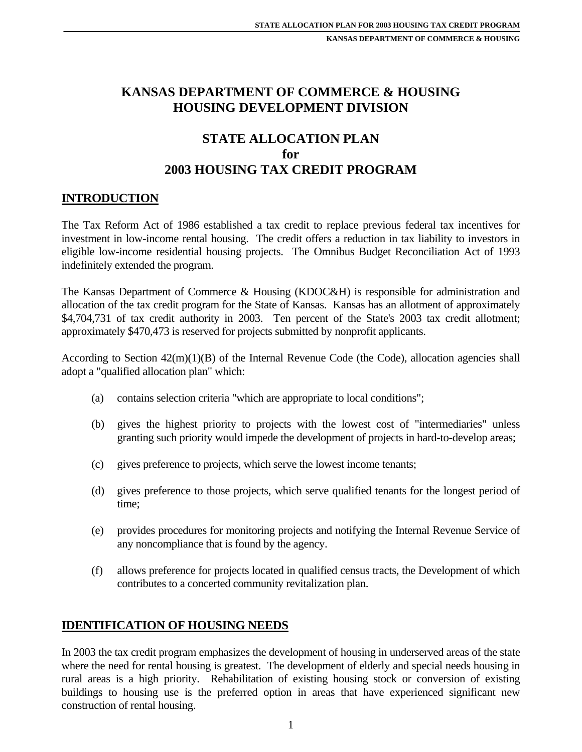# **KANSAS DEPARTMENT OF COMMERCE & HOUSING HOUSING DEVELOPMENT DIVISION**

# **STATE ALLOCATION PLAN for 2003 HOUSING TAX CREDIT PROGRAM**

## **INTRODUCTION**

The Tax Reform Act of 1986 established a tax credit to replace previous federal tax incentives for investment in low-income rental housing. The credit offers a reduction in tax liability to investors in eligible low-income residential housing projects. The Omnibus Budget Reconciliation Act of 1993 indefinitely extended the program.

The Kansas Department of Commerce & Housing (KDOC&H) is responsible for administration and allocation of the tax credit program for the State of Kansas. Kansas has an allotment of approximately \$4,704,731 of tax credit authority in 2003. Ten percent of the State's 2003 tax credit allotment; approximately \$470,473 is reserved for projects submitted by nonprofit applicants.

According to Section 42(m)(1)(B) of the Internal Revenue Code (the Code), allocation agencies shall adopt a "qualified allocation plan" which:

- (a) contains selection criteria "which are appropriate to local conditions";
- (b) gives the highest priority to projects with the lowest cost of "intermediaries" unless granting such priority would impede the development of projects in hard-to-develop areas;
- (c) gives preference to projects, which serve the lowest income tenants;
- (d) gives preference to those projects, which serve qualified tenants for the longest period of time;
- (e) provides procedures for monitoring projects and notifying the Internal Revenue Service of any noncompliance that is found by the agency.
- (f) allows preference for projects located in qualified census tracts, the Development of which contributes to a concerted community revitalization plan.

## **IDENTIFICATION OF HOUSING NEEDS**

In 2003 the tax credit program emphasizes the development of housing in underserved areas of the state where the need for rental housing is greatest. The development of elderly and special needs housing in rural areas is a high priority. Rehabilitation of existing housing stock or conversion of existing buildings to housing use is the preferred option in areas that have experienced significant new construction of rental housing.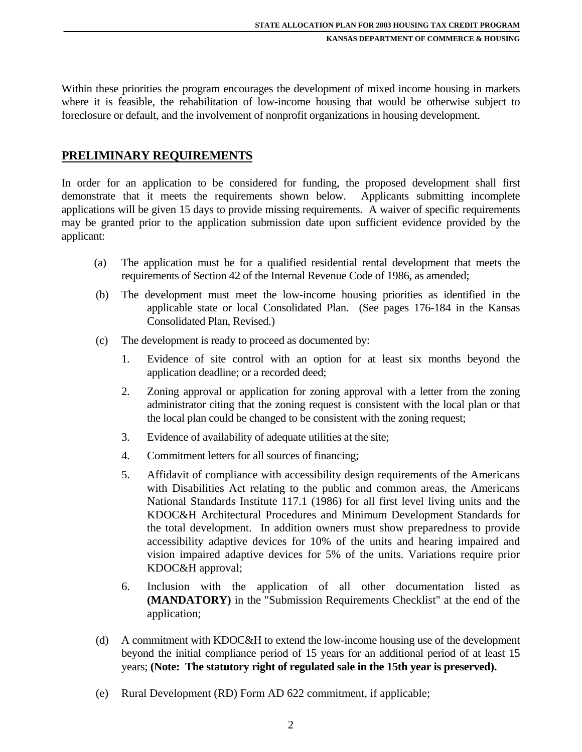Within these priorities the program encourages the development of mixed income housing in markets where it is feasible, the rehabilitation of low-income housing that would be otherwise subject to foreclosure or default, and the involvement of nonprofit organizations in housing development.

#### **PRELIMINARY REQUIREMENTS**

In order for an application to be considered for funding, the proposed development shall first demonstrate that it meets the requirements shown below. Applicants submitting incomplete applications will be given 15 days to provide missing requirements. A waiver of specific requirements may be granted prior to the application submission date upon sufficient evidence provided by the applicant:

- (a) The application must be for a qualified residential rental development that meets the requirements of Section 42 of the Internal Revenue Code of 1986, as amended;
- (b) The development must meet the low-income housing priorities as identified in the applicable state or local Consolidated Plan. (See pages 176-184 in the Kansas Consolidated Plan, Revised.)
- (c) The development is ready to proceed as documented by:
	- 1. Evidence of site control with an option for at least six months beyond the application deadline; or a recorded deed;
	- 2. Zoning approval or application for zoning approval with a letter from the zoning administrator citing that the zoning request is consistent with the local plan or that the local plan could be changed to be consistent with the zoning request;
	- 3. Evidence of availability of adequate utilities at the site;
	- 4. Commitment letters for all sources of financing;
	- 5. Affidavit of compliance with accessibility design requirements of the Americans with Disabilities Act relating to the public and common areas, the Americans National Standards Institute 117.1 (1986) for all first level living units and the KDOC&H Architectural Procedures and Minimum Development Standards for the total development. In addition owners must show preparedness to provide accessibility adaptive devices for 10% of the units and hearing impaired and vision impaired adaptive devices for 5% of the units. Variations require prior KDOC&H approval;
	- 6. Inclusion with the application of all other documentation listed as **(MANDATORY)** in the "Submission Requirements Checklist" at the end of the application;
- (d) A commitment with KDOC&H to extend the low-income housing use of the development beyond the initial compliance period of 15 years for an additional period of at least 15 years; **(Note: The statutory right of regulated sale in the 15th year is preserved).**
- (e) Rural Development (RD) Form AD 622 commitment, if applicable;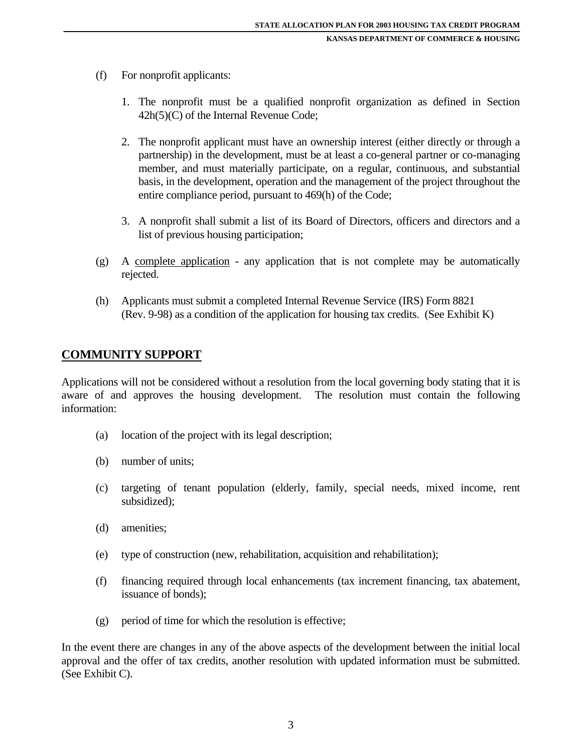- (f) For nonprofit applicants:
	- 1. The nonprofit must be a qualified nonprofit organization as defined in Section 42h(5)(C) of the Internal Revenue Code;
	- 2. The nonprofit applicant must have an ownership interest (either directly or through a partnership) in the development, must be at least a co-general partner or co-managing member, and must materially participate, on a regular, continuous, and substantial basis, in the development, operation and the management of the project throughout the entire compliance period, pursuant to 469(h) of the Code;
	- 3. A nonprofit shall submit a list of its Board of Directors, officers and directors and a list of previous housing participation;
- (g) A complete application any application that is not complete may be automatically rejected.
- (h) Applicants must submit a completed Internal Revenue Service (IRS) Form 8821 (Rev. 9-98) as a condition of the application for housing tax credits. (See Exhibit K)

## **COMMUNITY SUPPORT**

Applications will not be considered without a resolution from the local governing body stating that it is aware of and approves the housing development. The resolution must contain the following information:

- (a) location of the project with its legal description;
- (b) number of units;
- (c) targeting of tenant population (elderly, family, special needs, mixed income, rent subsidized);
- (d) amenities;
- (e) type of construction (new, rehabilitation, acquisition and rehabilitation);
- (f) financing required through local enhancements (tax increment financing, tax abatement, issuance of bonds);
- (g) period of time for which the resolution is effective;

In the event there are changes in any of the above aspects of the development between the initial local approval and the offer of tax credits, another resolution with updated information must be submitted. (See Exhibit C).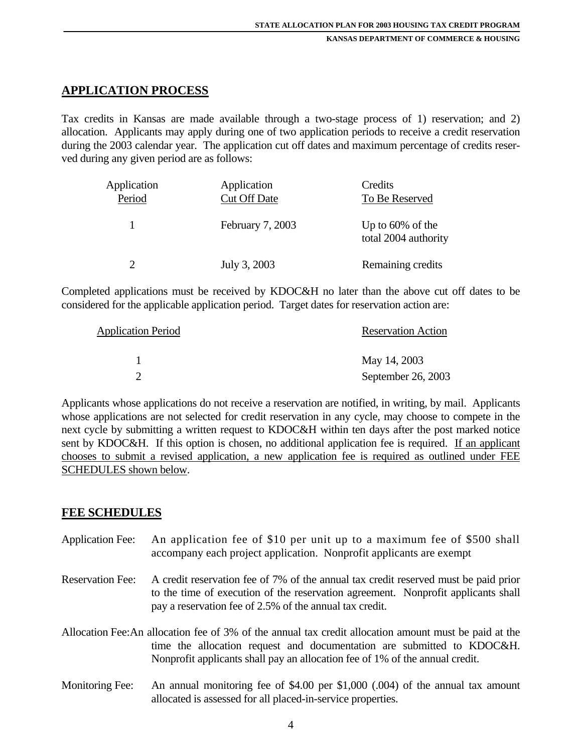## **APPLICATION PROCESS**

Tax credits in Kansas are made available through a two-stage process of 1) reservation; and 2) allocation. Applicants may apply during one of two application periods to receive a credit reservation during the 2003 calendar year. The application cut off dates and maximum percentage of credits reserved during any given period are as follows:

| Application<br>Period | Application<br><b>Cut Off Date</b> | Credits<br>To Be Reserved                   |
|-----------------------|------------------------------------|---------------------------------------------|
| -1                    | February 7, 2003                   | Up to $60\%$ of the<br>total 2004 authority |
| ∍                     | July 3, 2003                       | Remaining credits                           |

Completed applications must be received by KDOC&H no later than the above cut off dates to be considered for the applicable application period. Target dates for reservation action are:

| <b>Application Period</b> | <b>Reservation Action</b> |
|---------------------------|---------------------------|
|                           | May 14, 2003              |
|                           | September 26, 2003        |

Applicants whose applications do not receive a reservation are notified, in writing, by mail. Applicants whose applications are not selected for credit reservation in any cycle, may choose to compete in the next cycle by submitting a written request to KDOC&H within ten days after the post marked notice sent by KDOC&H. If this option is chosen, no additional application fee is required. If an applicant chooses to submit a revised application, a new application fee is required as outlined under FEE SCHEDULES shown below.

#### **FEE SCHEDULES**

- Application Fee: An application fee of \$10 per unit up to a maximum fee of \$500 shall accompany each project application. Nonprofit applicants are exempt
- Reservation Fee: A credit reservation fee of 7% of the annual tax credit reserved must be paid prior to the time of execution of the reservation agreement. Nonprofit applicants shall pay a reservation fee of 2.5% of the annual tax credit.
- Allocation Fee: An allocation fee of 3% of the annual tax credit allocation amount must be paid at the time the allocation request and documentation are submitted to KDOC&H. Nonprofit applicants shall pay an allocation fee of 1% of the annual credit.
- Monitoring Fee: An annual monitoring fee of \$4.00 per \$1,000 (.004) of the annual tax amount allocated is assessed for all placed-in-service properties.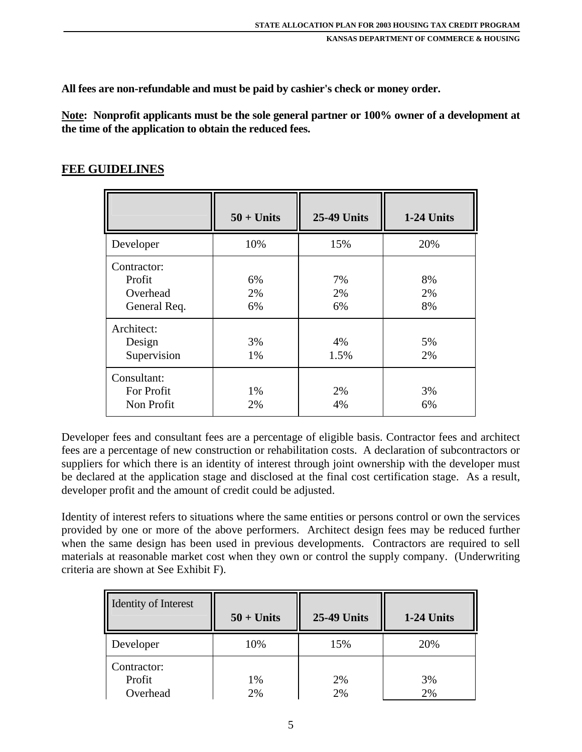**All fees are non-refundable and must be paid by cashier's check or money order.** 

**Note: Nonprofit applicants must be the sole general partner or 100% owner of a development at the time of the application to obtain the reduced fees.** 

## **FEE GUIDELINES**

|                                                   | $50 + Units$   | <b>25-49 Units</b> | 1-24 Units     |
|---------------------------------------------------|----------------|--------------------|----------------|
| Developer                                         | 10%            | 15%                | 20%            |
| Contractor:<br>Profit<br>Overhead<br>General Req. | 6%<br>2%<br>6% | 7%<br>2%<br>6%     | 8%<br>2%<br>8% |
| Architect:<br>Design<br>Supervision               | 3%<br>1%       | 4%<br>1.5%         | 5%<br>2%       |
| Consultant:<br>For Profit<br>Non Profit           | 1%<br>2%       | 2%<br>4%           | 3%<br>6%       |

Developer fees and consultant fees are a percentage of eligible basis. Contractor fees and architect fees are a percentage of new construction or rehabilitation costs. A declaration of subcontractors or suppliers for which there is an identity of interest through joint ownership with the developer must be declared at the application stage and disclosed at the final cost certification stage. As a result, developer profit and the amount of credit could be adjusted.

Identity of interest refers to situations where the same entities or persons control or own the services provided by one or more of the above performers. Architect design fees may be reduced further when the same design has been used in previous developments. Contractors are required to sell materials at reasonable market cost when they own or control the supply company. (Underwriting criteria are shown at See Exhibit F).

| <b>Identity of Interest</b>       | $50 + Units$ | <b>25-49 Units</b> | 1-24 Units |
|-----------------------------------|--------------|--------------------|------------|
| Developer                         | 10%          | 15%                | 20%        |
| Contractor:<br>Profit<br>Overhead | 1%<br>2%     | 2%<br>2%           | 3%<br>2%   |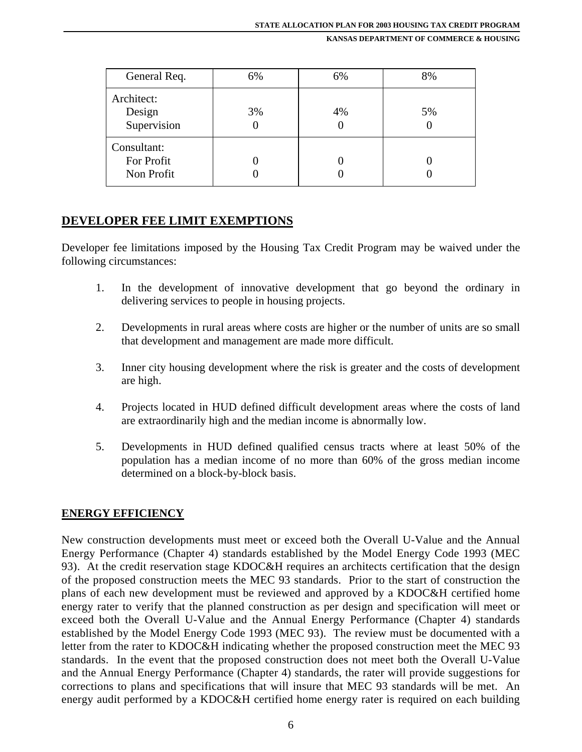| General Req.                            | 6%      | 6% | 8% |
|-----------------------------------------|---------|----|----|
| Architect:<br>Design<br>Supervision     | 3%<br>U | 4% | 5% |
| Consultant:<br>For Profit<br>Non Profit |         |    |    |

## **DEVELOPER FEE LIMIT EXEMPTIONS**

Developer fee limitations imposed by the Housing Tax Credit Program may be waived under the following circumstances:

- 1. In the development of innovative development that go beyond the ordinary in delivering services to people in housing projects.
- 2. Developments in rural areas where costs are higher or the number of units are so small that development and management are made more difficult.
- 3. Inner city housing development where the risk is greater and the costs of development are high.
- 4. Projects located in HUD defined difficult development areas where the costs of land are extraordinarily high and the median income is abnormally low.
- 5. Developments in HUD defined qualified census tracts where at least 50% of the population has a median income of no more than 60% of the gross median income determined on a block-by-block basis.

#### **ENERGY EFFICIENCY**

New construction developments must meet or exceed both the Overall U-Value and the Annual Energy Performance (Chapter 4) standards established by the Model Energy Code 1993 (MEC 93). At the credit reservation stage KDOC&H requires an architects certification that the design of the proposed construction meets the MEC 93 standards. Prior to the start of construction the plans of each new development must be reviewed and approved by a KDOC&H certified home energy rater to verify that the planned construction as per design and specification will meet or exceed both the Overall U-Value and the Annual Energy Performance (Chapter 4) standards established by the Model Energy Code 1993 (MEC 93). The review must be documented with a letter from the rater to KDOC&H indicating whether the proposed construction meet the MEC 93 standards. In the event that the proposed construction does not meet both the Overall U-Value and the Annual Energy Performance (Chapter 4) standards, the rater will provide suggestions for corrections to plans and specifications that will insure that MEC 93 standards will be met. An energy audit performed by a KDOC&H certified home energy rater is required on each building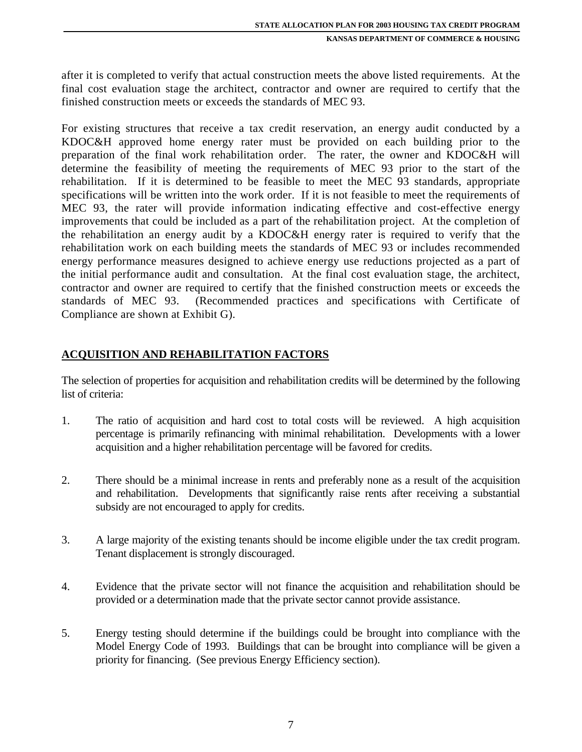after it is completed to verify that actual construction meets the above listed requirements. At the final cost evaluation stage the architect, contractor and owner are required to certify that the finished construction meets or exceeds the standards of MEC 93.

For existing structures that receive a tax credit reservation, an energy audit conducted by a KDOC&H approved home energy rater must be provided on each building prior to the preparation of the final work rehabilitation order. The rater, the owner and KDOC&H will determine the feasibility of meeting the requirements of MEC 93 prior to the start of the rehabilitation. If it is determined to be feasible to meet the MEC 93 standards, appropriate specifications will be written into the work order. If it is not feasible to meet the requirements of MEC 93, the rater will provide information indicating effective and cost-effective energy improvements that could be included as a part of the rehabilitation project. At the completion of the rehabilitation an energy audit by a KDOC&H energy rater is required to verify that the rehabilitation work on each building meets the standards of MEC 93 or includes recommended energy performance measures designed to achieve energy use reductions projected as a part of the initial performance audit and consultation. At the final cost evaluation stage, the architect, contractor and owner are required to certify that the finished construction meets or exceeds the standards of MEC 93. (Recommended practices and specifications with Certificate of Compliance are shown at Exhibit G).

## **ACQUISITION AND REHABILITATION FACTORS**

The selection of properties for acquisition and rehabilitation credits will be determined by the following list of criteria:

- 1. The ratio of acquisition and hard cost to total costs will be reviewed. A high acquisition percentage is primarily refinancing with minimal rehabilitation. Developments with a lower acquisition and a higher rehabilitation percentage will be favored for credits.
- 2. There should be a minimal increase in rents and preferably none as a result of the acquisition and rehabilitation. Developments that significantly raise rents after receiving a substantial subsidy are not encouraged to apply for credits.
- 3. A large majority of the existing tenants should be income eligible under the tax credit program. Tenant displacement is strongly discouraged.
- 4. Evidence that the private sector will not finance the acquisition and rehabilitation should be provided or a determination made that the private sector cannot provide assistance.
- 5. Energy testing should determine if the buildings could be brought into compliance with the Model Energy Code of 1993. Buildings that can be brought into compliance will be given a priority for financing. (See previous Energy Efficiency section).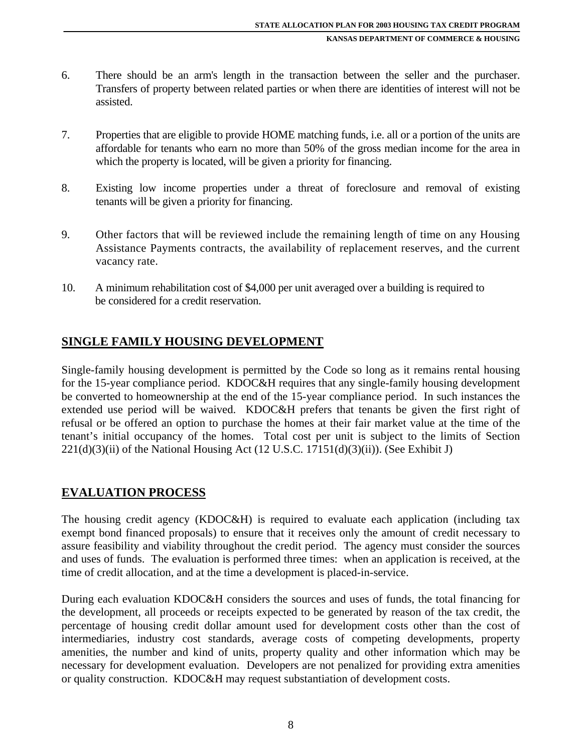- 6. There should be an arm's length in the transaction between the seller and the purchaser. Transfers of property between related parties or when there are identities of interest will not be assisted.
- 7. Properties that are eligible to provide HOME matching funds, i.e. all or a portion of the units are affordable for tenants who earn no more than 50% of the gross median income for the area in which the property is located, will be given a priority for financing.
- 8. Existing low income properties under a threat of foreclosure and removal of existing tenants will be given a priority for financing.
- 9. Other factors that will be reviewed include the remaining length of time on any Housing Assistance Payments contracts, the availability of replacement reserves, and the current vacancy rate.
- 10. A minimum rehabilitation cost of \$4,000 per unit averaged over a building is required to be considered for a credit reservation.

## **SINGLE FAMILY HOUSING DEVELOPMENT**

Single-family housing development is permitted by the Code so long as it remains rental housing for the 15-year compliance period. KDOC&H requires that any single-family housing development be converted to homeownership at the end of the 15-year compliance period. In such instances the extended use period will be waived. KDOC&H prefers that tenants be given the first right of refusal or be offered an option to purchase the homes at their fair market value at the time of the tenant's initial occupancy of the homes. Total cost per unit is subject to the limits of Section  $221(d)(3)(ii)$  of the National Housing Act (12 U.S.C. 17151(d)(3)(ii)). (See Exhibit J)

#### **EVALUATION PROCESS**

The housing credit agency (KDOC&H) is required to evaluate each application (including tax exempt bond financed proposals) to ensure that it receives only the amount of credit necessary to assure feasibility and viability throughout the credit period. The agency must consider the sources and uses of funds. The evaluation is performed three times: when an application is received, at the time of credit allocation, and at the time a development is placed-in-service.

During each evaluation KDOC&H considers the sources and uses of funds, the total financing for the development, all proceeds or receipts expected to be generated by reason of the tax credit, the percentage of housing credit dollar amount used for development costs other than the cost of intermediaries, industry cost standards, average costs of competing developments, property amenities, the number and kind of units, property quality and other information which may be necessary for development evaluation. Developers are not penalized for providing extra amenities or quality construction. KDOC&H may request substantiation of development costs.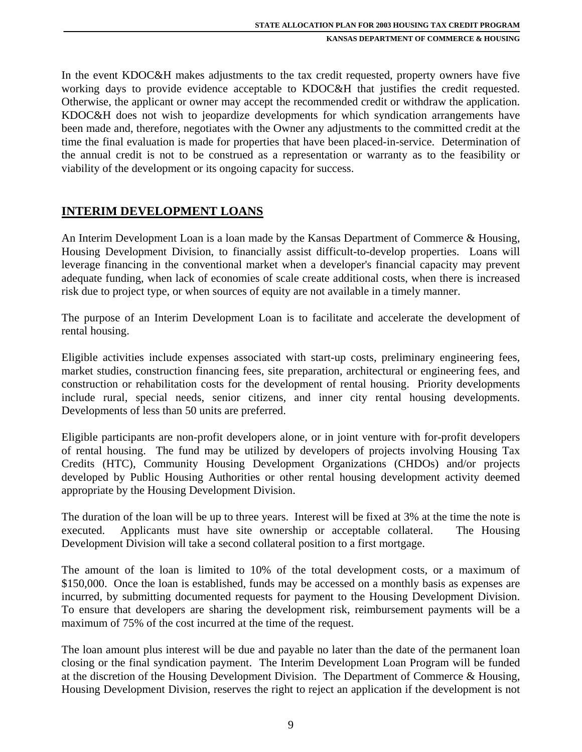In the event KDOC&H makes adjustments to the tax credit requested, property owners have five working days to provide evidence acceptable to KDOC&H that justifies the credit requested. Otherwise, the applicant or owner may accept the recommended credit or withdraw the application. KDOC&H does not wish to jeopardize developments for which syndication arrangements have been made and, therefore, negotiates with the Owner any adjustments to the committed credit at the time the final evaluation is made for properties that have been placed-in-service. Determination of the annual credit is not to be construed as a representation or warranty as to the feasibility or viability of the development or its ongoing capacity for success.

#### **INTERIM DEVELOPMENT LOANS**

An Interim Development Loan is a loan made by the Kansas Department of Commerce & Housing, Housing Development Division, to financially assist difficult-to-develop properties. Loans will leverage financing in the conventional market when a developer's financial capacity may prevent adequate funding, when lack of economies of scale create additional costs, when there is increased risk due to project type, or when sources of equity are not available in a timely manner.

The purpose of an Interim Development Loan is to facilitate and accelerate the development of rental housing.

Eligible activities include expenses associated with start-up costs, preliminary engineering fees, market studies, construction financing fees, site preparation, architectural or engineering fees, and construction or rehabilitation costs for the development of rental housing. Priority developments include rural, special needs, senior citizens, and inner city rental housing developments. Developments of less than 50 units are preferred.

Eligible participants are non-profit developers alone, or in joint venture with for-profit developers of rental housing. The fund may be utilized by developers of projects involving Housing Tax Credits (HTC), Community Housing Development Organizations (CHDOs) and/or projects developed by Public Housing Authorities or other rental housing development activity deemed appropriate by the Housing Development Division.

The duration of the loan will be up to three years. Interest will be fixed at 3% at the time the note is executed. Applicants must have site ownership or acceptable collateral. The Housing Development Division will take a second collateral position to a first mortgage.

The amount of the loan is limited to 10% of the total development costs, or a maximum of \$150,000. Once the loan is established, funds may be accessed on a monthly basis as expenses are incurred, by submitting documented requests for payment to the Housing Development Division. To ensure that developers are sharing the development risk, reimbursement payments will be a maximum of 75% of the cost incurred at the time of the request.

The loan amount plus interest will be due and payable no later than the date of the permanent loan closing or the final syndication payment. The Interim Development Loan Program will be funded at the discretion of the Housing Development Division. The Department of Commerce & Housing, Housing Development Division, reserves the right to reject an application if the development is not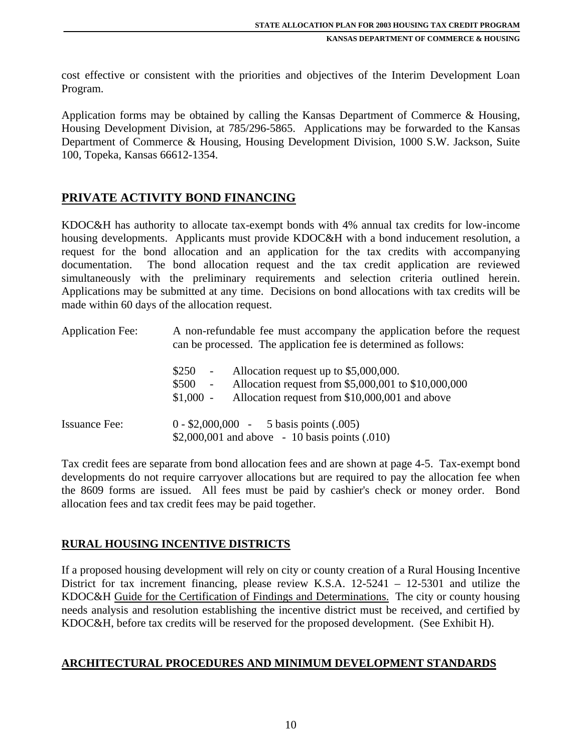cost effective or consistent with the priorities and objectives of the Interim Development Loan Program.

Application forms may be obtained by calling the Kansas Department of Commerce & Housing, Housing Development Division, at 785/296-5865. Applications may be forwarded to the Kansas Department of Commerce & Housing, Housing Development Division, 1000 S.W. Jackson, Suite 100, Topeka, Kansas 66612-1354.

## **PRIVATE ACTIVITY BOND FINANCING**

KDOC&H has authority to allocate tax-exempt bonds with 4% annual tax credits for low-income housing developments. Applicants must provide KDOC&H with a bond inducement resolution, a request for the bond allocation and an application for the tax credits with accompanying documentation. The bond allocation request and the tax credit application are reviewed simultaneously with the preliminary requirements and selection criteria outlined herein. Applications may be submitted at any time. Decisions on bond allocations with tax credits will be made within 60 days of the allocation request.

| <b>Application Fee:</b> | A non-refundable fee must accompany the application before the request<br>can be processed. The application fee is determined as follows:                                                          |  |  |
|-------------------------|----------------------------------------------------------------------------------------------------------------------------------------------------------------------------------------------------|--|--|
|                         | Allocation request up to \$5,000,000.<br>\$250<br>$\sim$<br>Allocation request from \$5,000,001 to \$10,000,000<br>\$500<br>$\sim$<br>Allocation request from \$10,000,001 and above<br>$$1,000 -$ |  |  |
| <b>Issuance Fee:</b>    | $0 - $2,000,000 - 5$ basis points (.005)<br>\$2,000,001 and above $-10$ basis points (.010)                                                                                                        |  |  |

Tax credit fees are separate from bond allocation fees and are shown at page 4-5. Tax-exempt bond developments do not require carryover allocations but are required to pay the allocation fee when the 8609 forms are issued. All fees must be paid by cashier's check or money order. Bond allocation fees and tax credit fees may be paid together.

## **RURAL HOUSING INCENTIVE DISTRICTS**

If a proposed housing development will rely on city or county creation of a Rural Housing Incentive District for tax increment financing, please review K.S.A. 12-5241 – 12-5301 and utilize the KDOC&H Guide for the Certification of Findings and Determinations. The city or county housing needs analysis and resolution establishing the incentive district must be received, and certified by KDOC&H, before tax credits will be reserved for the proposed development. (See Exhibit H).

#### **ARCHITECTURAL PROCEDURES AND MINIMUM DEVELOPMENT STANDARDS**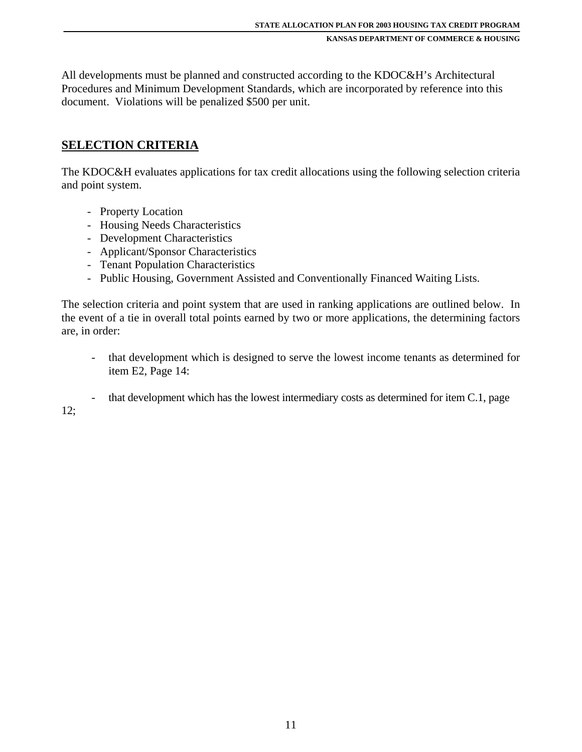All developments must be planned and constructed according to the KDOC&H's Architectural Procedures and Minimum Development Standards, which are incorporated by reference into this document. Violations will be penalized \$500 per unit.

### **SELECTION CRITERIA**

The KDOC&H evaluates applications for tax credit allocations using the following selection criteria and point system.

- Property Location
- Housing Needs Characteristics
- Development Characteristics
- Applicant/Sponsor Characteristics
- Tenant Population Characteristics
- Public Housing, Government Assisted and Conventionally Financed Waiting Lists.

The selection criteria and point system that are used in ranking applications are outlined below. In the event of a tie in overall total points earned by two or more applications, the determining factors are, in order:

- that development which is designed to serve the lowest income tenants as determined for item E2, Page 14:
- that development which has the lowest intermediary costs as determined for item C.1, page

12;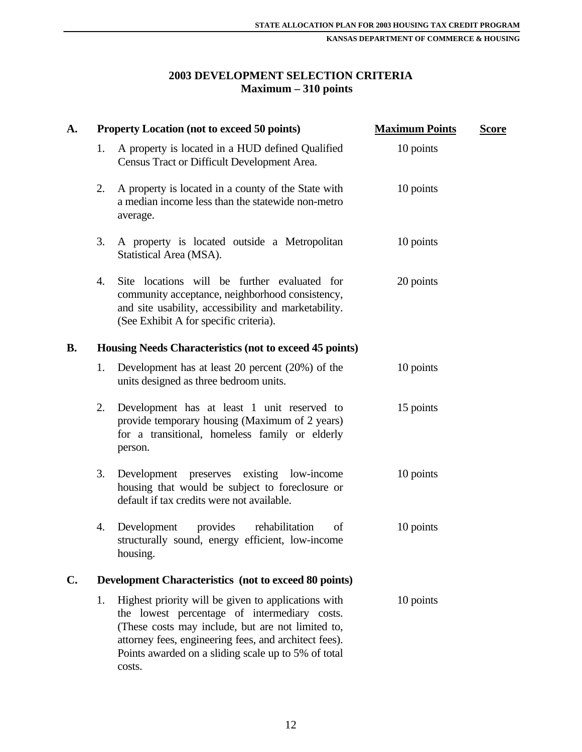## **2003 DEVELOPMENT SELECTION CRITERIA Maximum – 310 points**

| <b>A.</b>      |    | <b>Property Location (not to exceed 50 points)</b>                                                                                                                                                                                                                                 | <b>Maximum Points</b> | <b>Score</b> |
|----------------|----|------------------------------------------------------------------------------------------------------------------------------------------------------------------------------------------------------------------------------------------------------------------------------------|-----------------------|--------------|
|                | 1. | A property is located in a HUD defined Qualified<br>Census Tract or Difficult Development Area.                                                                                                                                                                                    | 10 points             |              |
|                | 2. | A property is located in a county of the State with<br>a median income less than the statewide non-metro<br>average.                                                                                                                                                               | 10 points             |              |
|                | 3. | A property is located outside a Metropolitan<br>Statistical Area (MSA).                                                                                                                                                                                                            | 10 points             |              |
|                | 4. | Site locations will be further evaluated for<br>community acceptance, neighborhood consistency,<br>and site usability, accessibility and marketability.<br>(See Exhibit A for specific criteria).                                                                                  | 20 points             |              |
| <b>B.</b>      |    | Housing Needs Characteristics (not to exceed 45 points)                                                                                                                                                                                                                            |                       |              |
|                | 1. | Development has at least 20 percent $(20%)$ of the<br>units designed as three bedroom units.                                                                                                                                                                                       | 10 points             |              |
|                | 2. | Development has at least 1 unit reserved to<br>provide temporary housing (Maximum of 2 years)<br>for a transitional, homeless family or elderly<br>person.                                                                                                                         | 15 points             |              |
|                | 3. | Development preserves existing low-income<br>housing that would be subject to foreclosure or<br>default if tax credits were not available.                                                                                                                                         | 10 points             |              |
|                | 4. | provides<br>rehabilitation<br>Development<br>of<br>structurally sound, energy efficient, low-income<br>housing.                                                                                                                                                                    | 10 points             |              |
| $\mathbf{C}$ . |    | <b>Development Characteristics (not to exceed 80 points)</b>                                                                                                                                                                                                                       |                       |              |
|                | 1. | Highest priority will be given to applications with<br>the lowest percentage of intermediary costs.<br>(These costs may include, but are not limited to,<br>attorney fees, engineering fees, and architect fees).<br>Points awarded on a sliding scale up to 5% of total<br>costs. | 10 points             |              |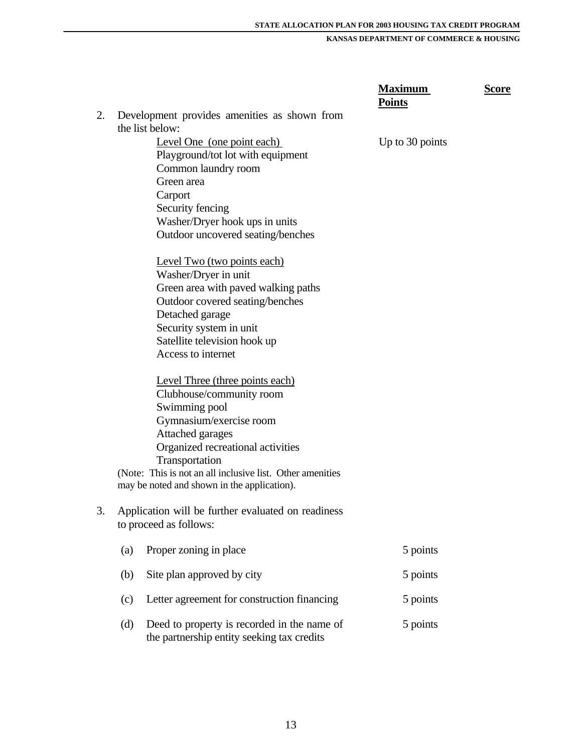|    |                                                                                                  | <b>Maximum</b><br><b>Points</b> | <b>Score</b> |
|----|--------------------------------------------------------------------------------------------------|---------------------------------|--------------|
| 2. | Development provides amenities as shown from                                                     |                                 |              |
|    | the list below:                                                                                  |                                 |              |
|    | Level One (one point each)                                                                       | Up to 30 points                 |              |
|    | Playground/tot lot with equipment                                                                |                                 |              |
|    | Common laundry room                                                                              |                                 |              |
|    | Green area                                                                                       |                                 |              |
|    | Carport                                                                                          |                                 |              |
|    | Security fencing                                                                                 |                                 |              |
|    | Washer/Dryer hook ups in units                                                                   |                                 |              |
|    | Outdoor uncovered seating/benches                                                                |                                 |              |
|    | Level Two (two points each)                                                                      |                                 |              |
|    | Washer/Dryer in unit                                                                             |                                 |              |
|    | Green area with paved walking paths                                                              |                                 |              |
|    | Outdoor covered seating/benches                                                                  |                                 |              |
|    | Detached garage                                                                                  |                                 |              |
|    | Security system in unit                                                                          |                                 |              |
|    | Satellite television hook up                                                                     |                                 |              |
|    | Access to internet                                                                               |                                 |              |
|    | Level Three (three points each)                                                                  |                                 |              |
|    | Clubhouse/community room                                                                         |                                 |              |
|    | Swimming pool                                                                                    |                                 |              |
|    | Gymnasium/exercise room                                                                          |                                 |              |
|    | Attached garages                                                                                 |                                 |              |
|    | Organized recreational activities                                                                |                                 |              |
|    |                                                                                                  |                                 |              |
|    | Transportation<br>(Note: This is not an all inclusive list. Other amenities                      |                                 |              |
|    | may be noted and shown in the application).                                                      |                                 |              |
|    |                                                                                                  |                                 |              |
| 3. | Application will be further evaluated on readiness                                               |                                 |              |
|    | to proceed as follows:                                                                           |                                 |              |
|    | Proper zoning in place<br>(a)                                                                    | 5 points                        |              |
|    | Site plan approved by city<br>(b)                                                                | 5 points                        |              |
|    | Letter agreement for construction financing<br>(c)                                               | 5 points                        |              |
|    | Deed to property is recorded in the name of<br>(d)<br>the partnership entity seeking tax credits | 5 points                        |              |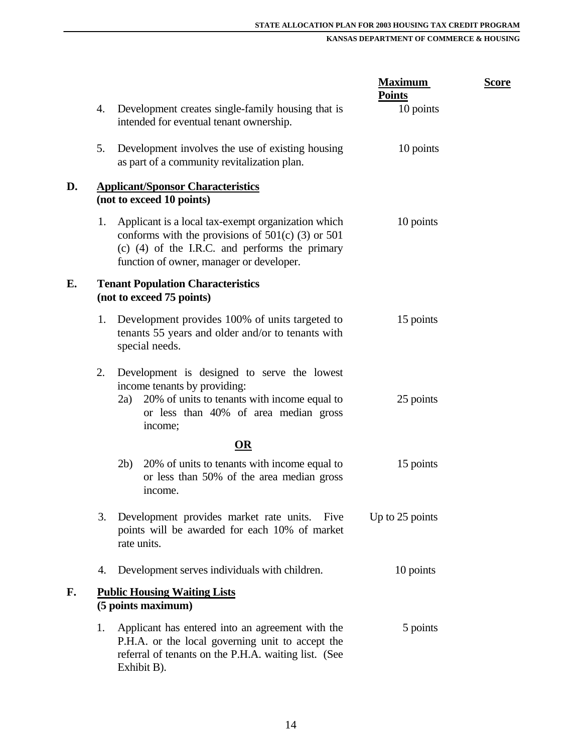|    |    |                                                                                                                                                                                                             | <b>Maximum</b><br><b>Points</b> | <u>Score</u> |
|----|----|-------------------------------------------------------------------------------------------------------------------------------------------------------------------------------------------------------------|---------------------------------|--------------|
|    | 4. | Development creates single-family housing that is<br>intended for eventual tenant ownership.                                                                                                                | 10 points                       |              |
|    | 5. | Development involves the use of existing housing<br>as part of a community revitalization plan.                                                                                                             | 10 points                       |              |
| D. |    | <b>Applicant/Sponsor Characteristics</b><br>(not to exceed 10 points)                                                                                                                                       |                                 |              |
|    | 1. | Applicant is a local tax-exempt organization which<br>conforms with the provisions of $501(c)$ (3) or $501$<br>$(c)$ (4) of the I.R.C. and performs the primary<br>function of owner, manager or developer. | 10 points                       |              |
| E. |    | <b>Tenant Population Characteristics</b><br>(not to exceed 75 points)                                                                                                                                       |                                 |              |
|    | 1. | Development provides 100% of units targeted to<br>tenants 55 years and older and/or to tenants with<br>special needs.                                                                                       | 15 points                       |              |
|    | 2. | Development is designed to serve the lowest<br>income tenants by providing:<br>20% of units to tenants with income equal to<br>2a)<br>or less than 40% of area median gross<br>income;                      | 25 points                       |              |
|    |    | <b>OR</b>                                                                                                                                                                                                   |                                 |              |
|    |    | 2b)<br>20% of units to tenants with income equal to<br>or less than 50% of the area median gross<br>income.                                                                                                 | 15 points                       |              |
|    | 3. | Development provides market rate units.<br>Five<br>points will be awarded for each 10% of market<br>rate units.                                                                                             | Up to 25 points                 |              |
|    | 4. | Development serves individuals with children.                                                                                                                                                               | 10 points                       |              |
| F. |    | <b>Public Housing Waiting Lists</b><br>(5 points maximum)                                                                                                                                                   |                                 |              |
|    | 1. | Applicant has entered into an agreement with the<br>P.H.A. or the local governing unit to accept the<br>referral of tenants on the P.H.A. waiting list. (See<br>Exhibit B).                                 | 5 points                        |              |
|    |    |                                                                                                                                                                                                             |                                 |              |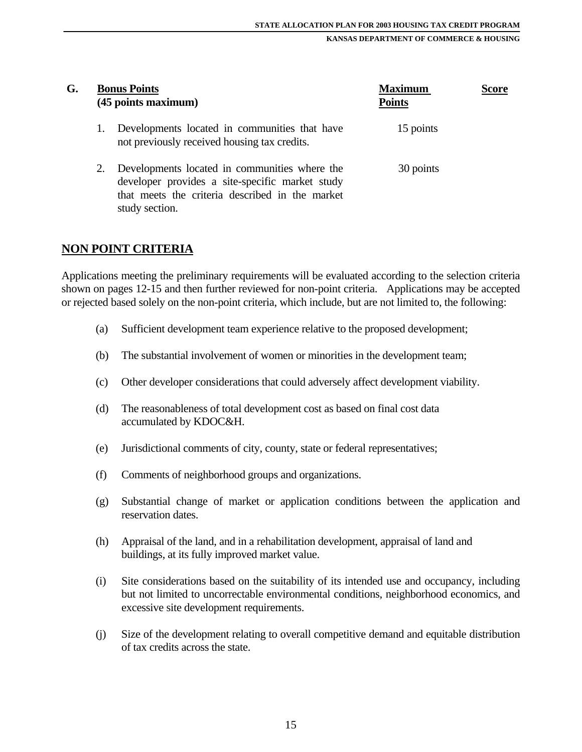| G. |    | <b>Bonus Points</b><br>(45 points maximum)                                                                                                                            | <b>Maximum</b><br><b>Points</b> | Score |  |
|----|----|-----------------------------------------------------------------------------------------------------------------------------------------------------------------------|---------------------------------|-------|--|
|    | 1. | Developments located in communities that have<br>not previously received housing tax credits.                                                                         | 15 points                       |       |  |
|    | 2. | Developments located in communities where the<br>developer provides a site-specific market study<br>that meets the criteria described in the market<br>study section. | 30 points                       |       |  |

#### **NON POINT CRITERIA**

Applications meeting the preliminary requirements will be evaluated according to the selection criteria shown on pages 12-15 and then further reviewed for non-point criteria. Applications may be accepted or rejected based solely on the non-point criteria, which include, but are not limited to, the following:

- (a) Sufficient development team experience relative to the proposed development;
- (b) The substantial involvement of women or minorities in the development team;
- (c) Other developer considerations that could adversely affect development viability.
- (d) The reasonableness of total development cost as based on final cost data accumulated by KDOC&H.
- (e) Jurisdictional comments of city, county, state or federal representatives;
- (f) Comments of neighborhood groups and organizations.
- (g) Substantial change of market or application conditions between the application and reservation dates.
- (h) Appraisal of the land, and in a rehabilitation development, appraisal of land and buildings, at its fully improved market value.
- (i) Site considerations based on the suitability of its intended use and occupancy, including but not limited to uncorrectable environmental conditions, neighborhood economics, and excessive site development requirements.
- (j) Size of the development relating to overall competitive demand and equitable distribution of tax credits across the state.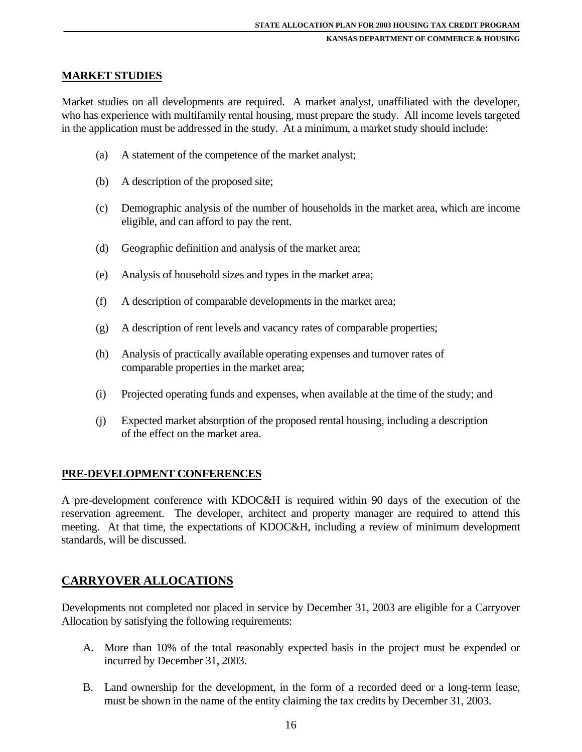#### **MARKET STUDIES**

Market studies on all developments are required. A market analyst, unaffiliated with the developer, who has experience with multifamily rental housing, must prepare the study. All income levels targeted in the application must be addressed in the study. At a minimum, a market study should include:

- (a) A statement of the competence of the market analyst;
- (b) A description of the proposed site;
- (c) Demographic analysis of the number of households in the market area, which are income eligible, and can afford to pay the rent.
- (d) Geographic definition and analysis of the market area;
- (e) Analysis of household sizes and types in the market area;
- (f) A description of comparable developments in the market area;
- (g) A description of rent levels and vacancy rates of comparable properties;
- (h) Analysis of practically available operating expenses and turnover rates of comparable properties in the market area;
- (i) Projected operating funds and expenses, when available at the time of the study; and
- (j) Expected market absorption of the proposed rental housing, including a description of the effect on the market area.

#### **PRE-DEVELOPMENT CONFERENCES**

A pre-development conference with KDOC&H is required within 90 days of the execution of the reservation agreement. The developer, architect and property manager are required to attend this meeting. At that time, the expectations of KDOC&H, including a review of minimum development standards, will be discussed.

#### **CARRYOVER ALLOCATIONS**

Developments not completed nor placed in service by December 31, 2003 are eligible for a Carryover Allocation by satisfying the following requirements:

- A. More than 10% of the total reasonably expected basis in the project must be expended or incurred by December 31, 2003.
- B. Land ownership for the development, in the form of a recorded deed or a long-term lease, must be shown in the name of the entity claiming the tax credits by December 31, 2003.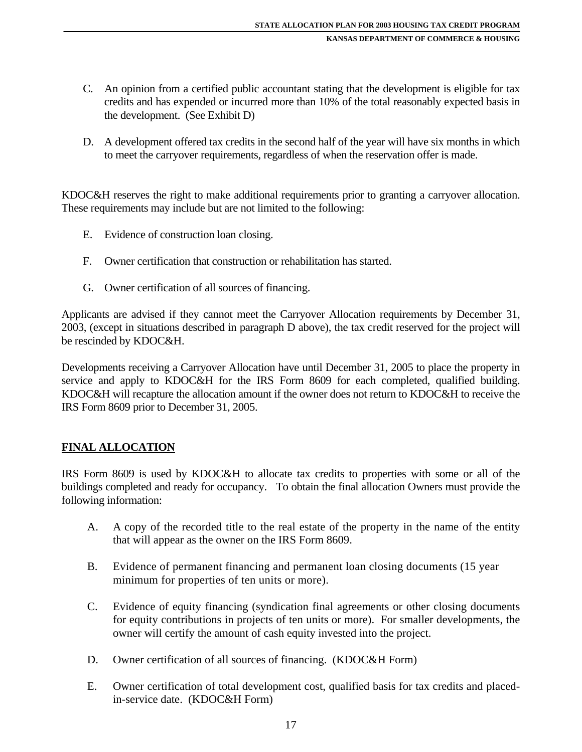- C. An opinion from a certified public accountant stating that the development is eligible for tax credits and has expended or incurred more than 10% of the total reasonably expected basis in the development. (See Exhibit D)
- D. A development offered tax credits in the second half of the year will have six months in which to meet the carryover requirements, regardless of when the reservation offer is made.

KDOC&H reserves the right to make additional requirements prior to granting a carryover allocation. These requirements may include but are not limited to the following:

- E. Evidence of construction loan closing.
- F. Owner certification that construction or rehabilitation has started.
- G. Owner certification of all sources of financing.

Applicants are advised if they cannot meet the Carryover Allocation requirements by December 31, 2003, (except in situations described in paragraph D above), the tax credit reserved for the project will be rescinded by KDOC&H.

Developments receiving a Carryover Allocation have until December 31, 2005 to place the property in service and apply to KDOC&H for the IRS Form 8609 for each completed, qualified building. KDOC&H will recapture the allocation amount if the owner does not return to KDOC&H to receive the IRS Form 8609 prior to December 31, 2005.

#### **FINAL ALLOCATION**

IRS Form 8609 is used by KDOC&H to allocate tax credits to properties with some or all of the buildings completed and ready for occupancy. To obtain the final allocation Owners must provide the following information:

- A. A copy of the recorded title to the real estate of the property in the name of the entity that will appear as the owner on the IRS Form 8609.
- B. Evidence of permanent financing and permanent loan closing documents (15 year minimum for properties of ten units or more).
- C. Evidence of equity financing (syndication final agreements or other closing documents for equity contributions in projects of ten units or more). For smaller developments, the owner will certify the amount of cash equity invested into the project.
- D. Owner certification of all sources of financing. (KDOC&H Form)
- E. Owner certification of total development cost, qualified basis for tax credits and placedin-service date. (KDOC&H Form)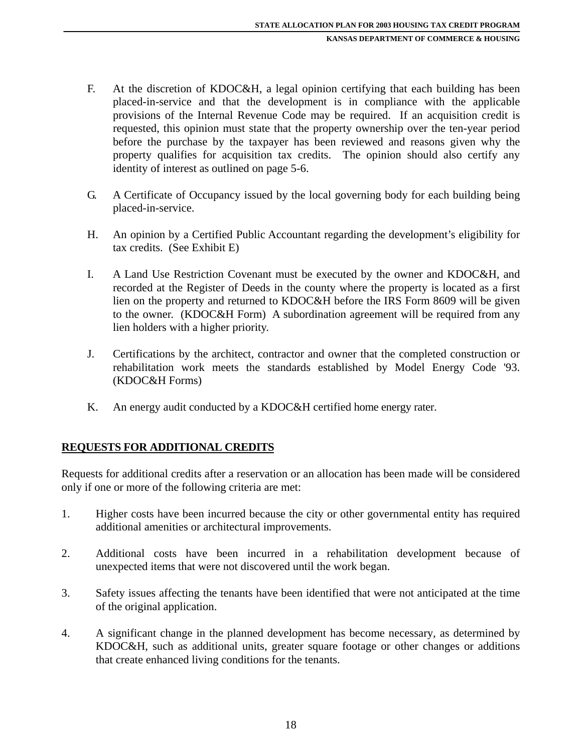- F. At the discretion of KDOC&H, a legal opinion certifying that each building has been placed-in-service and that the development is in compliance with the applicable provisions of the Internal Revenue Code may be required. If an acquisition credit is requested, this opinion must state that the property ownership over the ten-year period before the purchase by the taxpayer has been reviewed and reasons given why the property qualifies for acquisition tax credits. The opinion should also certify any identity of interest as outlined on page 5-6.
- G. A Certificate of Occupancy issued by the local governing body for each building being placed-in-service.
- H. An opinion by a Certified Public Accountant regarding the development's eligibility for tax credits. (See Exhibit E)
- I. A Land Use Restriction Covenant must be executed by the owner and KDOC&H, and recorded at the Register of Deeds in the county where the property is located as a first lien on the property and returned to KDOC&H before the IRS Form 8609 will be given to the owner. (KDOC&H Form) A subordination agreement will be required from any lien holders with a higher priority.
- J. Certifications by the architect, contractor and owner that the completed construction or rehabilitation work meets the standards established by Model Energy Code '93. (KDOC&H Forms)
- K. An energy audit conducted by a KDOC&H certified home energy rater.

## **REQUESTS FOR ADDITIONAL CREDITS**

Requests for additional credits after a reservation or an allocation has been made will be considered only if one or more of the following criteria are met:

- 1. Higher costs have been incurred because the city or other governmental entity has required additional amenities or architectural improvements.
- 2. Additional costs have been incurred in a rehabilitation development because of unexpected items that were not discovered until the work began.
- 3. Safety issues affecting the tenants have been identified that were not anticipated at the time of the original application.
- 4. A significant change in the planned development has become necessary, as determined by KDOC&H, such as additional units, greater square footage or other changes or additions that create enhanced living conditions for the tenants.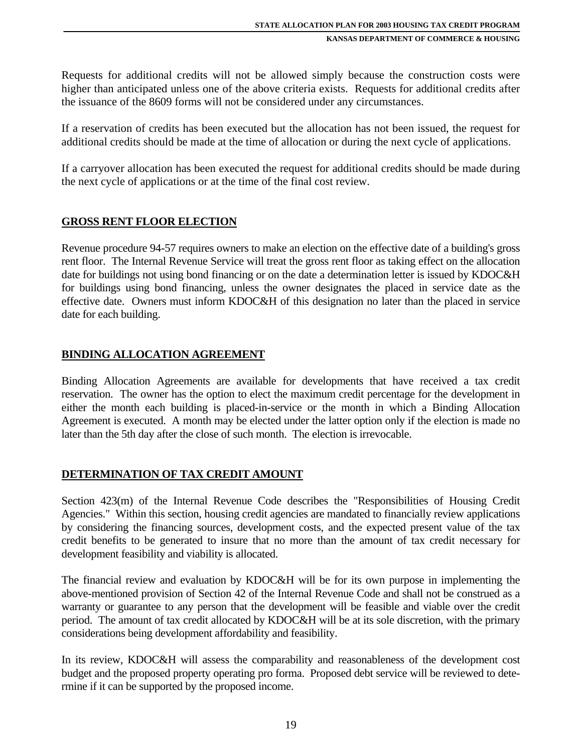Requests for additional credits will not be allowed simply because the construction costs were higher than anticipated unless one of the above criteria exists. Requests for additional credits after the issuance of the 8609 forms will not be considered under any circumstances.

If a reservation of credits has been executed but the allocation has not been issued, the request for additional credits should be made at the time of allocation or during the next cycle of applications.

If a carryover allocation has been executed the request for additional credits should be made during the next cycle of applications or at the time of the final cost review.

#### **GROSS RENT FLOOR ELECTION**

Revenue procedure 94-57 requires owners to make an election on the effective date of a building's gross rent floor. The Internal Revenue Service will treat the gross rent floor as taking effect on the allocation date for buildings not using bond financing or on the date a determination letter is issued by KDOC&H for buildings using bond financing, unless the owner designates the placed in service date as the effective date. Owners must inform KDOC&H of this designation no later than the placed in service date for each building.

#### **BINDING ALLOCATION AGREEMENT**

Binding Allocation Agreements are available for developments that have received a tax credit reservation. The owner has the option to elect the maximum credit percentage for the development in either the month each building is placed-in-service or the month in which a Binding Allocation Agreement is executed. A month may be elected under the latter option only if the election is made no later than the 5th day after the close of such month. The election is irrevocable.

#### **DETERMINATION OF TAX CREDIT AMOUNT**

Section 423(m) of the Internal Revenue Code describes the "Responsibilities of Housing Credit Agencies." Within this section, housing credit agencies are mandated to financially review applications by considering the financing sources, development costs, and the expected present value of the tax credit benefits to be generated to insure that no more than the amount of tax credit necessary for development feasibility and viability is allocated.

The financial review and evaluation by KDOC&H will be for its own purpose in implementing the above-mentioned provision of Section 42 of the Internal Revenue Code and shall not be construed as a warranty or guarantee to any person that the development will be feasible and viable over the credit period. The amount of tax credit allocated by KDOC&H will be at its sole discretion, with the primary considerations being development affordability and feasibility.

In its review, KDOC&H will assess the comparability and reasonableness of the development cost budget and the proposed property operating pro forma. Proposed debt service will be reviewed to determine if it can be supported by the proposed income.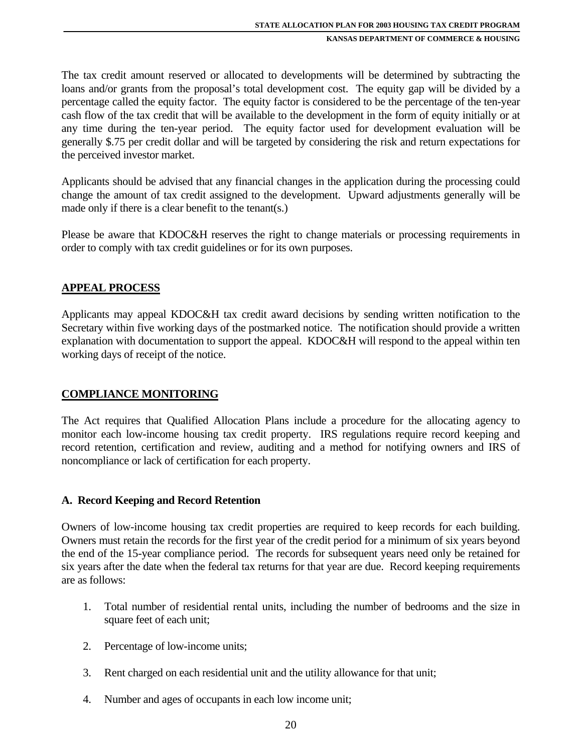The tax credit amount reserved or allocated to developments will be determined by subtracting the loans and/or grants from the proposal's total development cost. The equity gap will be divided by a percentage called the equity factor. The equity factor is considered to be the percentage of the ten-year cash flow of the tax credit that will be available to the development in the form of equity initially or at any time during the ten-year period. The equity factor used for development evaluation will be generally \$.75 per credit dollar and will be targeted by considering the risk and return expectations for the perceived investor market.

Applicants should be advised that any financial changes in the application during the processing could change the amount of tax credit assigned to the development. Upward adjustments generally will be made only if there is a clear benefit to the tenant(s.)

Please be aware that KDOC&H reserves the right to change materials or processing requirements in order to comply with tax credit guidelines or for its own purposes.

## **APPEAL PROCESS**

Applicants may appeal KDOC&H tax credit award decisions by sending written notification to the Secretary within five working days of the postmarked notice. The notification should provide a written explanation with documentation to support the appeal. KDOC&H will respond to the appeal within ten working days of receipt of the notice.

## **COMPLIANCE MONITORING**

The Act requires that Qualified Allocation Plans include a procedure for the allocating agency to monitor each low-income housing tax credit property. IRS regulations require record keeping and record retention, certification and review, auditing and a method for notifying owners and IRS of noncompliance or lack of certification for each property.

#### **A. Record Keeping and Record Retention**

Owners of low-income housing tax credit properties are required to keep records for each building. Owners must retain the records for the first year of the credit period for a minimum of six years beyond the end of the 15-year compliance period. The records for subsequent years need only be retained for six years after the date when the federal tax returns for that year are due. Record keeping requirements are as follows:

- 1. Total number of residential rental units, including the number of bedrooms and the size in square feet of each unit;
- 2. Percentage of low-income units;
- 3. Rent charged on each residential unit and the utility allowance for that unit;
- 4. Number and ages of occupants in each low income unit;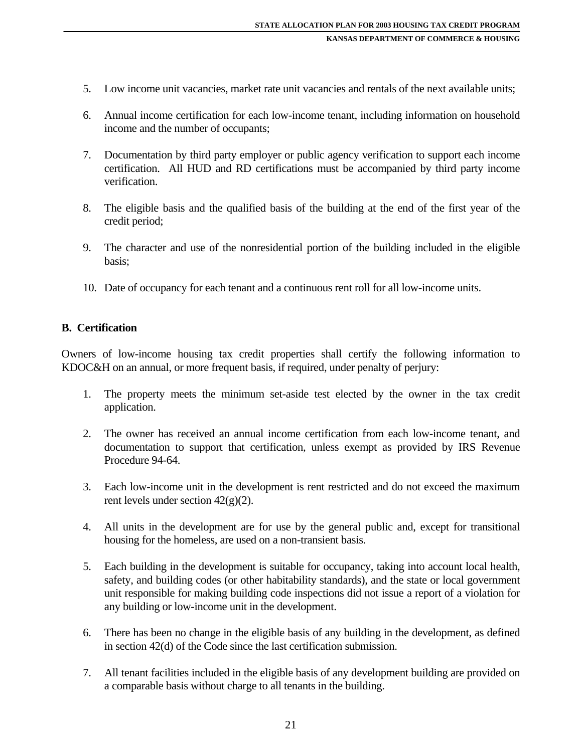- 5. Low income unit vacancies, market rate unit vacancies and rentals of the next available units;
- 6. Annual income certification for each low-income tenant, including information on household income and the number of occupants;
- 7. Documentation by third party employer or public agency verification to support each income certification. All HUD and RD certifications must be accompanied by third party income verification.
- 8. The eligible basis and the qualified basis of the building at the end of the first year of the credit period;
- 9. The character and use of the nonresidential portion of the building included in the eligible basis;
- 10. Date of occupancy for each tenant and a continuous rent roll for all low-income units.

#### **B. Certification**

Owners of low-income housing tax credit properties shall certify the following information to KDOC&H on an annual, or more frequent basis, if required, under penalty of perjury:

- 1. The property meets the minimum set-aside test elected by the owner in the tax credit application.
- 2. The owner has received an annual income certification from each low-income tenant, and documentation to support that certification, unless exempt as provided by IRS Revenue Procedure 94-64.
- 3. Each low-income unit in the development is rent restricted and do not exceed the maximum rent levels under section 42(g)(2).
- 4. All units in the development are for use by the general public and, except for transitional housing for the homeless, are used on a non-transient basis.
- 5. Each building in the development is suitable for occupancy, taking into account local health, safety, and building codes (or other habitability standards), and the state or local government unit responsible for making building code inspections did not issue a report of a violation for any building or low-income unit in the development.
- 6. There has been no change in the eligible basis of any building in the development, as defined in section 42(d) of the Code since the last certification submission.
- 7. All tenant facilities included in the eligible basis of any development building are provided on a comparable basis without charge to all tenants in the building.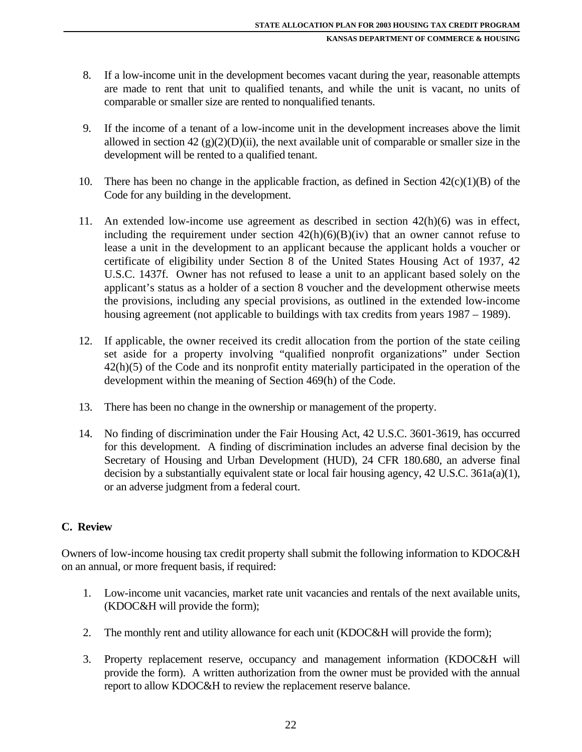- 8. If a low-income unit in the development becomes vacant during the year, reasonable attempts are made to rent that unit to qualified tenants, and while the unit is vacant, no units of comparable or smaller size are rented to nonqualified tenants.
- 9. If the income of a tenant of a low-income unit in the development increases above the limit allowed in section 42 (g)(2)(D)(ii), the next available unit of comparable or smaller size in the development will be rented to a qualified tenant.
- 10. There has been no change in the applicable fraction, as defined in Section  $42(c)(1)(B)$  of the Code for any building in the development.
- 11. An extended low-income use agreement as described in section 42(h)(6) was in effect, including the requirement under section  $42(h)(6)(B)(iv)$  that an owner cannot refuse to lease a unit in the development to an applicant because the applicant holds a voucher or certificate of eligibility under Section 8 of the United States Housing Act of 1937, 42 U.S.C. 1437f. Owner has not refused to lease a unit to an applicant based solely on the applicant's status as a holder of a section 8 voucher and the development otherwise meets the provisions, including any special provisions, as outlined in the extended low-income housing agreement (not applicable to buildings with tax credits from years 1987 – 1989).
- 12. If applicable, the owner received its credit allocation from the portion of the state ceiling set aside for a property involving "qualified nonprofit organizations" under Section 42(h)(5) of the Code and its nonprofit entity materially participated in the operation of the development within the meaning of Section 469(h) of the Code.
- 13. There has been no change in the ownership or management of the property.
- 14. No finding of discrimination under the Fair Housing Act, 42 U.S.C. 3601-3619, has occurred for this development. A finding of discrimination includes an adverse final decision by the Secretary of Housing and Urban Development (HUD), 24 CFR 180.680, an adverse final decision by a substantially equivalent state or local fair housing agency, 42 U.S.C. 361a(a)(1), or an adverse judgment from a federal court.

## **C. Review**

Owners of low-income housing tax credit property shall submit the following information to KDOC&H on an annual, or more frequent basis, if required:

- 1. Low-income unit vacancies, market rate unit vacancies and rentals of the next available units, (KDOC&H will provide the form);
- 2. The monthly rent and utility allowance for each unit (KDOC&H will provide the form);
- 3. Property replacement reserve, occupancy and management information (KDOC&H will provide the form). A written authorization from the owner must be provided with the annual report to allow KDOC&H to review the replacement reserve balance.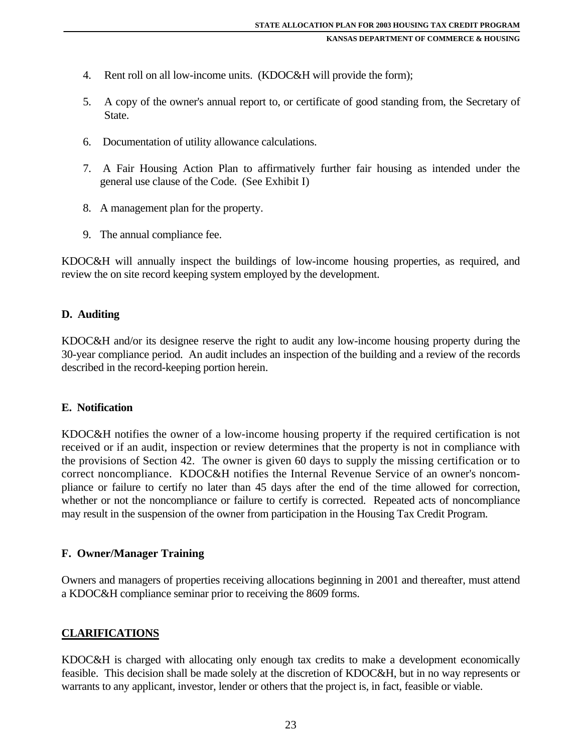- 4. Rent roll on all low-income units. (KDOC&H will provide the form);
- 5. A copy of the owner's annual report to, or certificate of good standing from, the Secretary of State.
- 6. Documentation of utility allowance calculations.
- 7. A Fair Housing Action Plan to affirmatively further fair housing as intended under the general use clause of the Code. (See Exhibit I)
- 8. A management plan for the property.
- 9. The annual compliance fee.

KDOC&H will annually inspect the buildings of low-income housing properties, as required, and review the on site record keeping system employed by the development.

#### **D. Auditing**

KDOC&H and/or its designee reserve the right to audit any low-income housing property during the 30-year compliance period. An audit includes an inspection of the building and a review of the records described in the record-keeping portion herein.

#### **E. Notification**

KDOC&H notifies the owner of a low-income housing property if the required certification is not received or if an audit, inspection or review determines that the property is not in compliance with the provisions of Section 42. The owner is given 60 days to supply the missing certification or to correct noncompliance. KDOC&H notifies the Internal Revenue Service of an owner's noncompliance or failure to certify no later than 45 days after the end of the time allowed for correction, whether or not the noncompliance or failure to certify is corrected. Repeated acts of noncompliance may result in the suspension of the owner from participation in the Housing Tax Credit Program.

#### **F. Owner/Manager Training**

Owners and managers of properties receiving allocations beginning in 2001 and thereafter, must attend a KDOC&H compliance seminar prior to receiving the 8609 forms.

#### **CLARIFICATIONS**

KDOC&H is charged with allocating only enough tax credits to make a development economically feasible. This decision shall be made solely at the discretion of KDOC&H, but in no way represents or warrants to any applicant, investor, lender or others that the project is, in fact, feasible or viable.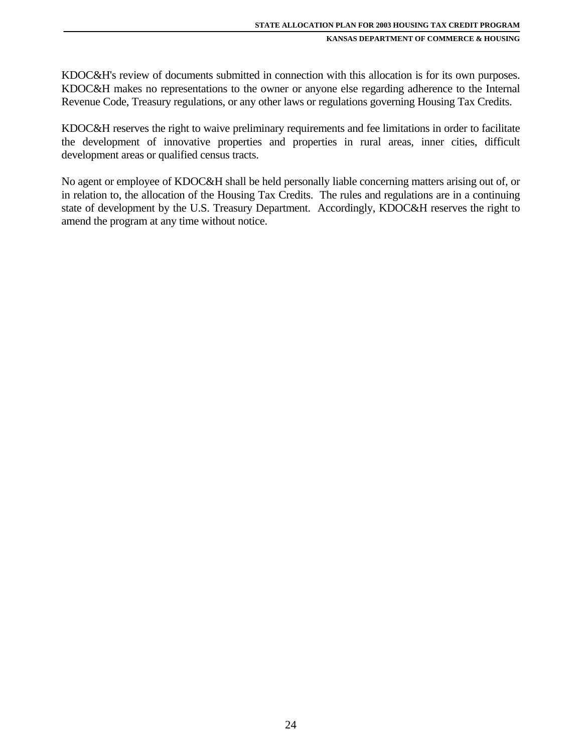KDOC&H's review of documents submitted in connection with this allocation is for its own purposes. KDOC&H makes no representations to the owner or anyone else regarding adherence to the Internal Revenue Code, Treasury regulations, or any other laws or regulations governing Housing Tax Credits.

KDOC&H reserves the right to waive preliminary requirements and fee limitations in order to facilitate the development of innovative properties and properties in rural areas, inner cities, difficult development areas or qualified census tracts.

No agent or employee of KDOC&H shall be held personally liable concerning matters arising out of, or in relation to, the allocation of the Housing Tax Credits. The rules and regulations are in a continuing state of development by the U.S. Treasury Department. Accordingly, KDOC&H reserves the right to amend the program at any time without notice.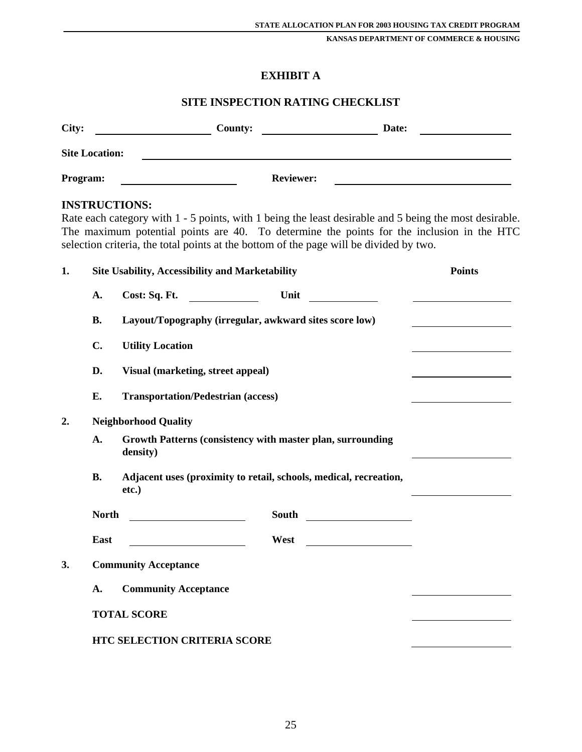## **EXHIBIT A**

#### **SITE INSPECTION RATING CHECKLIST**

| City:                 | <b>County:</b> |                  | Date: |  |
|-----------------------|----------------|------------------|-------|--|
| <b>Site Location:</b> |                |                  |       |  |
| Program:              |                | <b>Reviewer:</b> |       |  |
| <b>INSTRUCTIONS:</b>  |                |                  |       |  |

Rate each category with 1 - 5 points, with 1 being the least desirable and 5 being the most desirable. The maximum potential points are 40. To determine the points for the inclusion in the HTC selection criteria, the total points at the bottom of the page will be divided by two.

| 1. |              | <b>Site Usability, Accessibility and Marketability</b>                     |       | <b>Points</b> |
|----|--------------|----------------------------------------------------------------------------|-------|---------------|
|    | A.           | Cost: Sq. Ft.<br><u> Alban Maria (</u>                                     | Unit  |               |
|    | <b>B.</b>    | Layout/Topography (irregular, awkward sites score low)                     |       |               |
|    | C.           | <b>Utility Location</b>                                                    |       |               |
|    | D.           | Visual (marketing, street appeal)                                          |       |               |
|    | E.           | <b>Transportation/Pedestrian (access)</b>                                  |       |               |
| 2. |              | <b>Neighborhood Quality</b>                                                |       |               |
|    | A.           | Growth Patterns (consistency with master plan, surrounding<br>density)     |       |               |
|    | <b>B.</b>    | Adjacent uses (proximity to retail, schools, medical, recreation,<br>etc.) |       |               |
|    | <b>North</b> | <u> 1990 - Johann Barbara, martin a</u>                                    | South |               |
|    | East         |                                                                            | West  |               |
| 3. |              | <b>Community Acceptance</b>                                                |       |               |
|    | A.           | <b>Community Acceptance</b>                                                |       |               |
|    |              | <b>TOTAL SCORE</b>                                                         |       |               |
|    |              | <b>HTC SELECTION CRITERIA SCORE</b>                                        |       |               |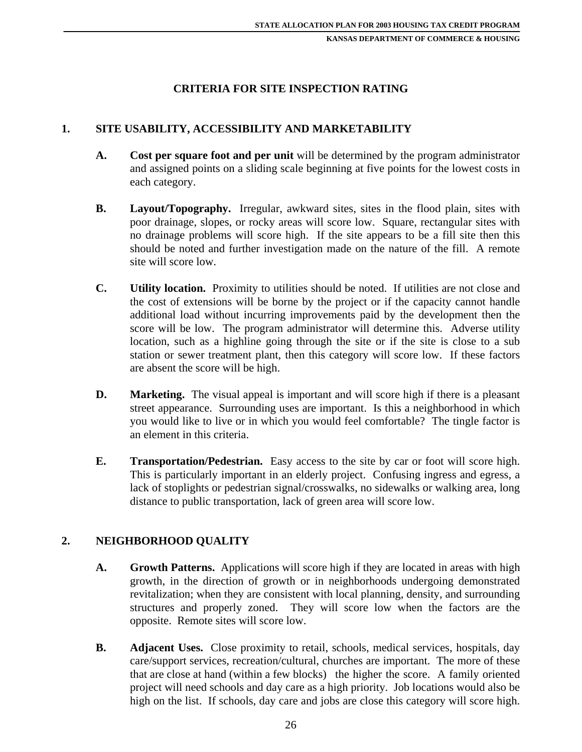#### **CRITERIA FOR SITE INSPECTION RATING**

### **1. SITE USABILITY, ACCESSIBILITY AND MARKETABILITY**

- **A. Cost per square foot and per unit** will be determined by the program administrator and assigned points on a sliding scale beginning at five points for the lowest costs in each category.
- **B.** Layout/Topography. Irregular, awkward sites, sites in the flood plain, sites with poor drainage, slopes, or rocky areas will score low. Square, rectangular sites with no drainage problems will score high. If the site appears to be a fill site then this should be noted and further investigation made on the nature of the fill. A remote site will score low.
- **C. Utility location.** Proximity to utilities should be noted. If utilities are not close and the cost of extensions will be borne by the project or if the capacity cannot handle additional load without incurring improvements paid by the development then the score will be low. The program administrator will determine this. Adverse utility location, such as a highline going through the site or if the site is close to a sub station or sewer treatment plant, then this category will score low. If these factors are absent the score will be high.
- **D.** Marketing. The visual appeal is important and will score high if there is a pleasant street appearance. Surrounding uses are important. Is this a neighborhood in which you would like to live or in which you would feel comfortable? The tingle factor is an element in this criteria.
- **E. Transportation/Pedestrian.** Easy access to the site by car or foot will score high. This is particularly important in an elderly project. Confusing ingress and egress, a lack of stoplights or pedestrian signal/crosswalks, no sidewalks or walking area, long distance to public transportation, lack of green area will score low.

#### **2. NEIGHBORHOOD QUALITY**

- **A. Growth Patterns.** Applications will score high if they are located in areas with high growth, in the direction of growth or in neighborhoods undergoing demonstrated revitalization; when they are consistent with local planning, density, and surrounding structures and properly zoned. They will score low when the factors are the opposite. Remote sites will score low.
- **B.** Adjacent Uses. Close proximity to retail, schools, medical services, hospitals, day care/support services, recreation/cultural, churches are important. The more of these that are close at hand (within a few blocks) the higher the score. A family oriented project will need schools and day care as a high priority. Job locations would also be high on the list. If schools, day care and jobs are close this category will score high.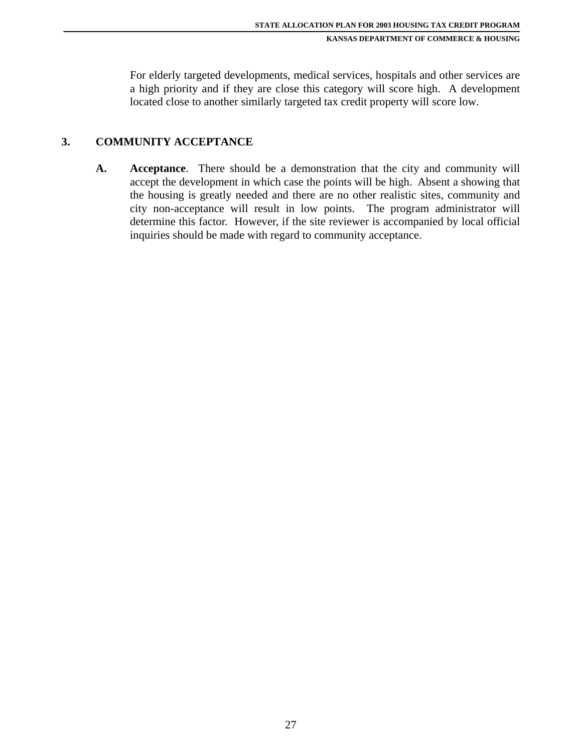For elderly targeted developments, medical services, hospitals and other services are a high priority and if they are close this category will score high. A development located close to another similarly targeted tax credit property will score low.

### **3. COMMUNITY ACCEPTANCE**

**A. Acceptance**. There should be a demonstration that the city and community will accept the development in which case the points will be high. Absent a showing that the housing is greatly needed and there are no other realistic sites, community and city non-acceptance will result in low points. The program administrator will determine this factor. However, if the site reviewer is accompanied by local official inquiries should be made with regard to community acceptance.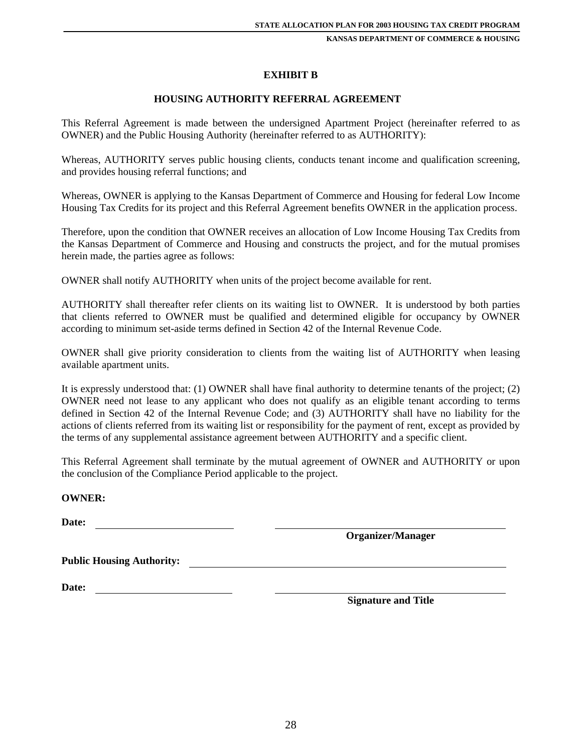#### **EXHIBIT B**

#### **HOUSING AUTHORITY REFERRAL AGREEMENT**

This Referral Agreement is made between the undersigned Apartment Project (hereinafter referred to as OWNER) and the Public Housing Authority (hereinafter referred to as AUTHORITY):

Whereas, AUTHORITY serves public housing clients, conducts tenant income and qualification screening, and provides housing referral functions; and

Whereas, OWNER is applying to the Kansas Department of Commerce and Housing for federal Low Income Housing Tax Credits for its project and this Referral Agreement benefits OWNER in the application process.

Therefore, upon the condition that OWNER receives an allocation of Low Income Housing Tax Credits from the Kansas Department of Commerce and Housing and constructs the project, and for the mutual promises herein made, the parties agree as follows:

OWNER shall notify AUTHORITY when units of the project become available for rent.

AUTHORITY shall thereafter refer clients on its waiting list to OWNER. It is understood by both parties that clients referred to OWNER must be qualified and determined eligible for occupancy by OWNER according to minimum set-aside terms defined in Section 42 of the Internal Revenue Code.

OWNER shall give priority consideration to clients from the waiting list of AUTHORITY when leasing available apartment units.

It is expressly understood that: (1) OWNER shall have final authority to determine tenants of the project; (2) OWNER need not lease to any applicant who does not qualify as an eligible tenant according to terms defined in Section 42 of the Internal Revenue Code; and (3) AUTHORITY shall have no liability for the actions of clients referred from its waiting list or responsibility for the payment of rent, except as provided by the terms of any supplemental assistance agreement between AUTHORITY and a specific client.

This Referral Agreement shall terminate by the mutual agreement of OWNER and AUTHORITY or upon the conclusion of the Compliance Period applicable to the project.

#### **OWNER:**

**Date:** 

 **Organizer/Manager** 

**Date:** 

 **Signature and Title**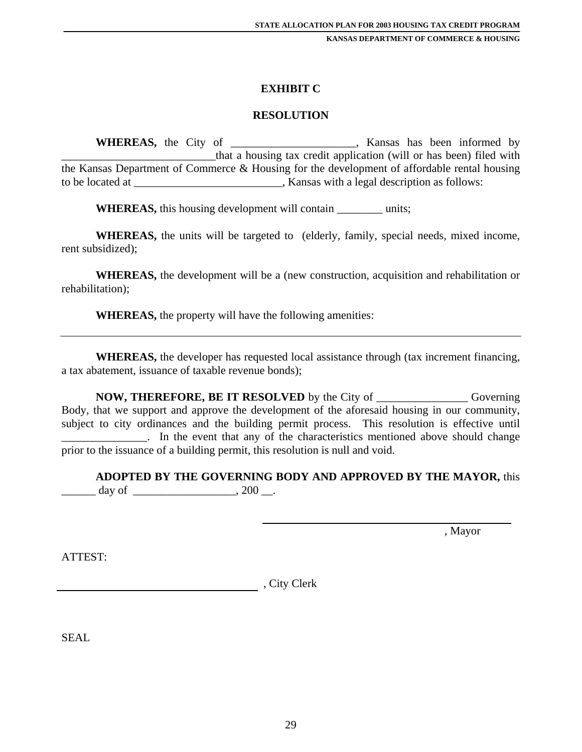#### **EXHIBIT C**

#### **RESOLUTION**

**WHEREAS,** the City of \_\_\_\_\_\_\_\_\_\_\_\_\_\_\_\_\_\_, Kansas has been informed by \_\_\_\_\_\_\_\_\_\_\_\_\_\_\_\_\_\_\_\_\_\_\_\_\_\_\_that a housing tax credit application (will or has been) filed with the Kansas Department of Commerce & Housing for the development of affordable rental housing to be located at  $\blacksquare$ , Kansas with a legal description as follows:

**WHEREAS,** this housing development will contain \_\_\_\_\_\_\_\_ units;

**WHEREAS,** the units will be targeted to (elderly, family, special needs, mixed income, rent subsidized);

**WHEREAS,** the development will be a (new construction, acquisition and rehabilitation or rehabilitation);

**WHEREAS,** the property will have the following amenities:

**WHEREAS,** the developer has requested local assistance through (tax increment financing, a tax abatement, issuance of taxable revenue bonds);

**NOW, THEREFORE, BE IT RESOLVED** by the City of \_\_\_\_\_\_\_\_\_\_\_\_\_\_\_\_ Governing Body, that we support and approve the development of the aforesaid housing in our community, subject to city ordinances and the building permit process. This resolution is effective until \_\_\_\_\_\_\_\_\_\_\_\_\_\_\_. In the event that any of the characteristics mentioned above should change prior to the issuance of a building permit, this resolution is null and void.

**ADOPTED BY THE GOVERNING BODY AND APPROVED BY THE MAYOR,** this \_\_\_\_\_\_ day of \_\_\_\_\_\_\_\_\_\_\_\_\_\_\_\_\_\_, 200 \_\_.

, Mayor

ATTEST:

example and the contract of the Clerk contract of the Clerk contract of the Clerk contract of the Clerk contract of the Clerk contract of the Clerk contract of the Clerk contract of the Clerk contract of the Clerk contract

SEAL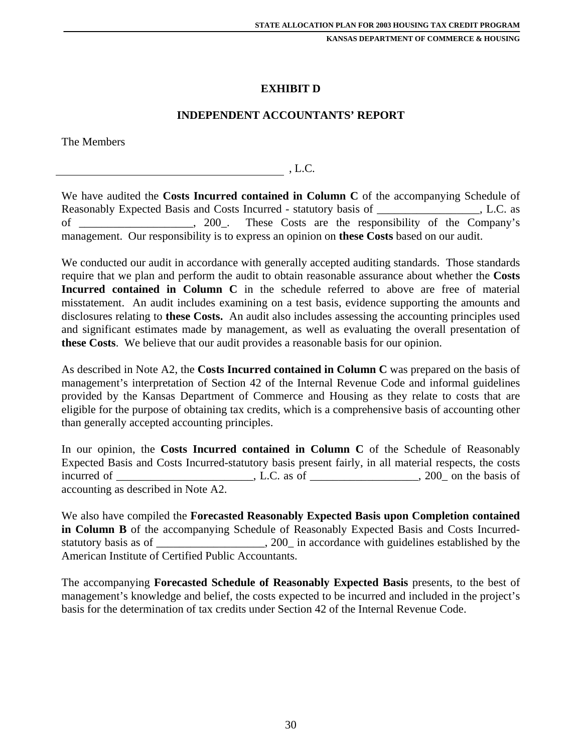## **EXHIBIT D**

#### **INDEPENDENT ACCOUNTANTS' REPORT**

The Members

, L.C.

We have audited the **Costs Incurred contained in Column C** of the accompanying Schedule of Reasonably Expected Basis and Costs Incurred - statutory basis of Theorem 3. L.C. as of \_\_\_\_\_\_\_\_\_\_\_\_\_\_\_\_\_\_\_\_, 200\_. These Costs are the responsibility of the Company's management. Our responsibility is to express an opinion on **these Costs** based on our audit.

We conducted our audit in accordance with generally accepted auditing standards. Those standards require that we plan and perform the audit to obtain reasonable assurance about whether the **Costs Incurred contained in Column C** in the schedule referred to above are free of material misstatement. An audit includes examining on a test basis, evidence supporting the amounts and disclosures relating to **these Costs.** An audit also includes assessing the accounting principles used and significant estimates made by management, as well as evaluating the overall presentation of **these Costs**. We believe that our audit provides a reasonable basis for our opinion.

As described in Note A2, the **Costs Incurred contained in Column C** was prepared on the basis of management's interpretation of Section 42 of the Internal Revenue Code and informal guidelines provided by the Kansas Department of Commerce and Housing as they relate to costs that are eligible for the purpose of obtaining tax credits, which is a comprehensive basis of accounting other than generally accepted accounting principles.

In our opinion, the **Costs Incurred contained in Column C** of the Schedule of Reasonably Expected Basis and Costs Incurred-statutory basis present fairly, in all material respects, the costs incurred of \_\_\_\_\_\_\_\_\_\_\_\_\_\_\_\_\_\_\_\_\_\_, L.C. as of \_\_\_\_\_\_\_\_\_\_\_\_\_\_\_\_\_, 200\_ on the basis of accounting as described in Note A2.

We also have compiled the **Forecasted Reasonably Expected Basis upon Completion contained in Column B** of the accompanying Schedule of Reasonably Expected Basis and Costs Incurredstatutory basis as of \_\_\_\_\_\_\_\_\_\_\_\_\_\_\_\_, 200\_ in accordance with guidelines established by the American Institute of Certified Public Accountants.

The accompanying **Forecasted Schedule of Reasonably Expected Basis** presents, to the best of management's knowledge and belief, the costs expected to be incurred and included in the project's basis for the determination of tax credits under Section 42 of the Internal Revenue Code.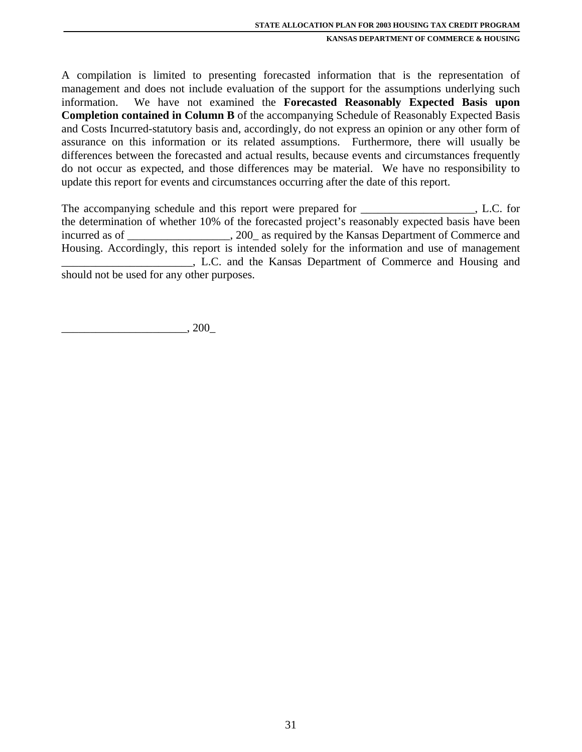A compilation is limited to presenting forecasted information that is the representation of management and does not include evaluation of the support for the assumptions underlying such information. We have not examined the **Forecasted Reasonably Expected Basis upon Completion contained in Column B** of the accompanying Schedule of Reasonably Expected Basis and Costs Incurred-statutory basis and, accordingly, do not express an opinion or any other form of assurance on this information or its related assumptions. Furthermore, there will usually be differences between the forecasted and actual results, because events and circumstances frequently do not occur as expected, and those differences may be material. We have no responsibility to update this report for events and circumstances occurring after the date of this report.

The accompanying schedule and this report were prepared for \_\_\_\_\_\_\_\_\_\_\_\_\_\_\_\_\_\_\_, L.C. for the determination of whether 10% of the forecasted project's reasonably expected basis have been incurred as of \_\_\_\_\_\_\_\_\_\_\_\_\_\_\_, 200\_ as required by the Kansas Department of Commerce and Housing. Accordingly, this report is intended solely for the information and use of management \_\_\_\_\_\_\_\_\_\_\_\_\_\_\_\_\_\_\_\_\_\_\_, L.C. and the Kansas Department of Commerce and Housing and should not be used for any other purposes.

 $\_$ , 200 $\_$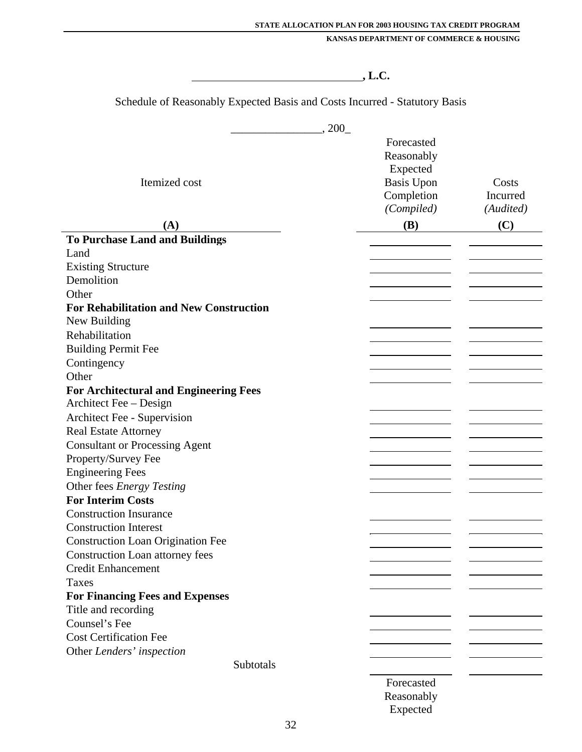## **, L.C.**

Schedule of Reasonably Expected Basis and Costs Incurred - Statutory Basis

|                                                | , 200             |           |
|------------------------------------------------|-------------------|-----------|
|                                                | Forecasted        |           |
|                                                | Reasonably        |           |
|                                                | Expected          |           |
| Itemized cost                                  | <b>Basis Upon</b> | Costs     |
|                                                | Completion        | Incurred  |
|                                                | (Compiled)        | (Audited) |
| (A)                                            | <b>(B)</b>        | (C)       |
| <b>To Purchase Land and Buildings</b>          |                   |           |
| Land                                           |                   |           |
| <b>Existing Structure</b>                      |                   |           |
| Demolition                                     |                   |           |
| Other                                          |                   |           |
| <b>For Rehabilitation and New Construction</b> |                   |           |
| New Building                                   |                   |           |
| Rehabilitation                                 |                   |           |
| <b>Building Permit Fee</b>                     |                   |           |
| Contingency                                    |                   |           |
| Other                                          |                   |           |
| <b>For Architectural and Engineering Fees</b>  |                   |           |
| Architect Fee – Design                         |                   |           |
| Architect Fee - Supervision                    |                   |           |
| <b>Real Estate Attorney</b>                    |                   |           |
| <b>Consultant or Processing Agent</b>          |                   |           |
| Property/Survey Fee                            |                   |           |
| <b>Engineering Fees</b>                        |                   |           |
| Other fees Energy Testing                      |                   |           |
| <b>For Interim Costs</b>                       |                   |           |
| <b>Construction Insurance</b>                  |                   |           |
| <b>Construction Interest</b>                   |                   |           |
| <b>Construction Loan Origination Fee</b>       |                   |           |
| <b>Construction Loan attorney fees</b>         |                   |           |
| <b>Credit Enhancement</b>                      |                   |           |
| Taxes                                          |                   |           |
| <b>For Financing Fees and Expenses</b>         |                   |           |
| Title and recording                            |                   |           |
| Counsel's Fee                                  |                   |           |
| <b>Cost Certification Fee</b>                  |                   |           |
| Other Lenders' inspection                      |                   |           |
| Subtotals                                      |                   |           |
|                                                | Forecasted        |           |
|                                                | Reasonably        |           |

Expected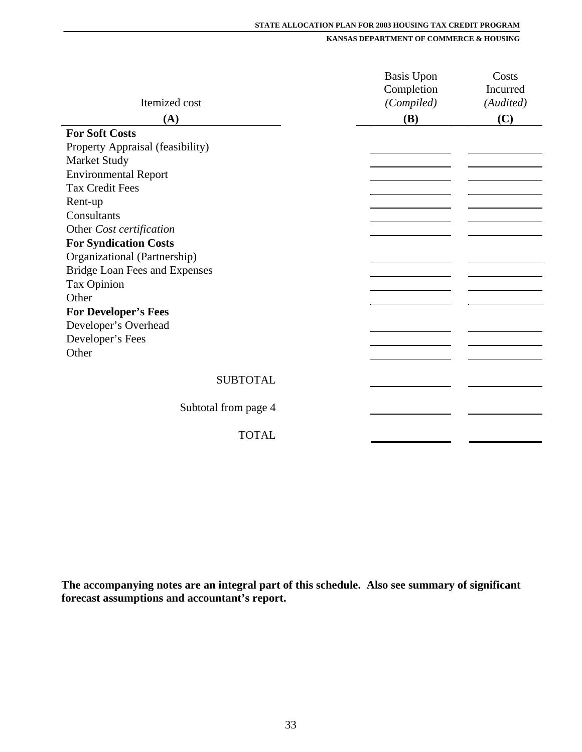#### **STATE ALLOCATION PLAN FOR 2003 HOUSING TAX CREDIT PROGRAM**

**KANSAS DEPARTMENT OF COMMERCE & HOUSING**

|                                      | <b>Basis Upon</b> | Costs     |
|--------------------------------------|-------------------|-----------|
|                                      | Completion        | Incurred  |
| Itemized cost                        | (Compiled)        | (Audited) |
| (A)                                  | <b>(B)</b>        | (C)       |
| <b>For Soft Costs</b>                |                   |           |
| Property Appraisal (feasibility)     |                   |           |
| <b>Market Study</b>                  |                   |           |
| <b>Environmental Report</b>          |                   |           |
| <b>Tax Credit Fees</b>               |                   |           |
| Rent-up                              |                   |           |
| Consultants                          |                   |           |
| Other Cost certification             |                   |           |
| <b>For Syndication Costs</b>         |                   |           |
| Organizational (Partnership)         |                   |           |
| <b>Bridge Loan Fees and Expenses</b> |                   |           |
| <b>Tax Opinion</b>                   |                   |           |
| Other                                |                   |           |
| <b>For Developer's Fees</b>          |                   |           |
| Developer's Overhead                 |                   |           |
| Developer's Fees                     |                   |           |
| Other                                |                   |           |
|                                      |                   |           |
| <b>SUBTOTAL</b>                      |                   |           |
|                                      |                   |           |
| Subtotal from page 4                 |                   |           |
| <b>TOTAL</b>                         |                   |           |
|                                      |                   |           |

**The accompanying notes are an integral part of this schedule. Also see summary of significant forecast assumptions and accountant's report.**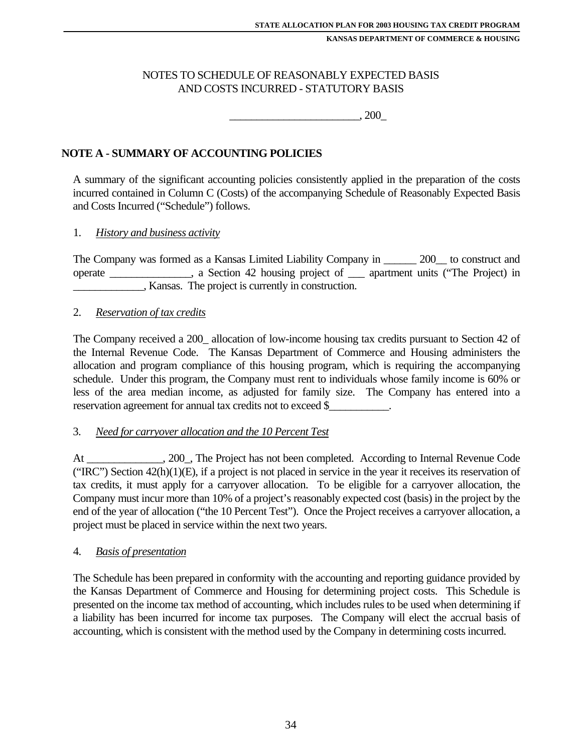### NOTES TO SCHEDULE OF REASONABLY EXPECTED BASIS AND COSTS INCURRED - STATUTORY BASIS

 $, 200$ 

## **NOTE A - SUMMARY OF ACCOUNTING POLICIES**

A summary of the significant accounting policies consistently applied in the preparation of the costs incurred contained in Column C (Costs) of the accompanying Schedule of Reasonably Expected Basis and Costs Incurred ("Schedule") follows.

#### 1. *History and business activity*

The Company was formed as a Kansas Limited Liability Company in \_\_\_\_\_\_ 200\_\_ to construct and operate \_\_\_\_\_\_\_\_\_\_\_\_\_\_\_, a Section 42 housing project of \_\_\_ apartment units ("The Project) in \_\_\_\_\_\_\_\_\_\_\_\_\_, Kansas. The project is currently in construction.

#### 2. *Reservation of tax credits*

The Company received a 200\_ allocation of low-income housing tax credits pursuant to Section 42 of the Internal Revenue Code. The Kansas Department of Commerce and Housing administers the allocation and program compliance of this housing program, which is requiring the accompanying schedule. Under this program, the Company must rent to individuals whose family income is 60% or less of the area median income, as adjusted for family size. The Company has entered into a reservation agreement for annual tax credits not to exceed \$\_

#### 3. *Need for carryover allocation and the 10 Percent Test*

At \_\_\_\_\_\_\_\_\_\_\_\_\_\_, 200\_, The Project has not been completed. According to Internal Revenue Code ("IRC") Section  $42(h)(1)(E)$ , if a project is not placed in service in the year it receives its reservation of tax credits, it must apply for a carryover allocation. To be eligible for a carryover allocation, the Company must incur more than 10% of a project's reasonably expected cost (basis) in the project by the end of the year of allocation ("the 10 Percent Test"). Once the Project receives a carryover allocation, a project must be placed in service within the next two years.

#### 4. *Basis of presentation*

The Schedule has been prepared in conformity with the accounting and reporting guidance provided by the Kansas Department of Commerce and Housing for determining project costs. This Schedule is presented on the income tax method of accounting, which includes rules to be used when determining if a liability has been incurred for income tax purposes. The Company will elect the accrual basis of accounting, which is consistent with the method used by the Company in determining costs incurred.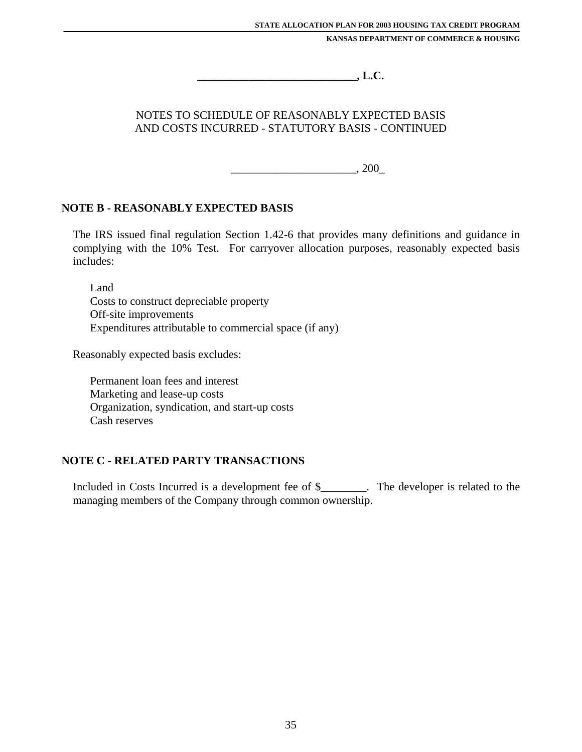**\_\_\_\_\_\_\_\_\_\_\_\_\_\_\_\_\_\_\_\_\_\_\_\_\_\_\_\_, L.C.**

## NOTES TO SCHEDULE OF REASONABLY EXPECTED BASIS AND COSTS INCURRED - STATUTORY BASIS - CONTINUED

 $\frac{200}{\epsilon}$ 

## **NOTE B - REASONABLY EXPECTED BASIS**

The IRS issued final regulation Section 1.42-6 that provides many definitions and guidance in complying with the 10% Test. For carryover allocation purposes, reasonably expected basis includes:

Land Costs to construct depreciable property Off-site improvements Expenditures attributable to commercial space (if any)

Reasonably expected basis excludes:

Permanent loan fees and interest Marketing and lease-up costs Organization, syndication, and start-up costs Cash reserves

## **NOTE C - RELATED PARTY TRANSACTIONS**

Included in Costs Incurred is a development fee of \$\_\_\_\_\_\_\_\_. The developer is related to the managing members of the Company through common ownership.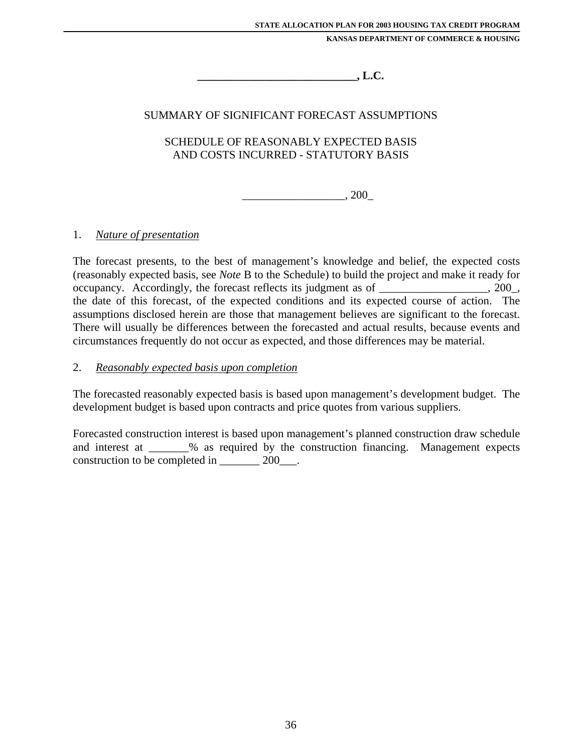$\blacksquare$  . L.C.

## SUMMARY OF SIGNIFICANT FORECAST ASSUMPTIONS

## SCHEDULE OF REASONABLY EXPECTED BASIS AND COSTS INCURRED - STATUTORY BASIS

 $\frac{1}{200}$ , 200

#### 1. *Nature of presentation*

The forecast presents, to the best of management's knowledge and belief, the expected costs (reasonably expected basis, see *Note* B to the Schedule) to build the project and make it ready for occupancy. Accordingly, the forecast reflects its judgment as of \_\_\_\_\_\_\_\_\_\_\_\_\_\_\_\_\_\_\_, 200\_, the date of this forecast, of the expected conditions and its expected course of action. The assumptions disclosed herein are those that management believes are significant to the forecast. There will usually be differences between the forecasted and actual results, because events and circumstances frequently do not occur as expected, and those differences may be material.

#### 2. *Reasonably expected basis upon completion*

The forecasted reasonably expected basis is based upon management's development budget. The development budget is based upon contracts and price quotes from various suppliers.

Forecasted construction interest is based upon management's planned construction draw schedule and interest at \_\_\_\_\_\_\_% as required by the construction financing. Management expects construction to be completed in \_\_\_\_\_\_\_ 200\_\_\_.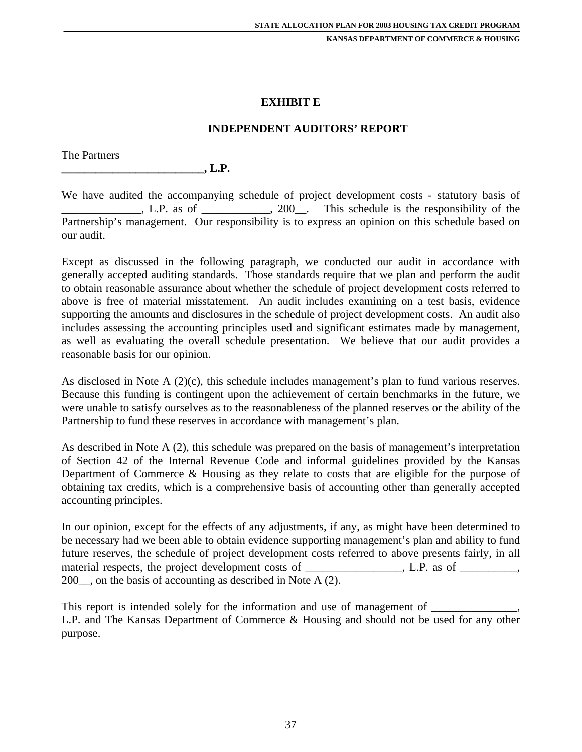#### **EXHIBIT E**

#### **INDEPENDENT AUDITORS' REPORT**

The Partners

**\_\_\_\_\_\_\_\_\_\_\_\_\_\_\_\_\_\_\_\_\_\_\_\_\_, L.P.**

We have audited the accompanying schedule of project development costs - statutory basis of  $\Box$ , L.P. as of  $\Box$ , 200, This schedule is the responsibility of the Partnership's management. Our responsibility is to express an opinion on this schedule based on our audit.

Except as discussed in the following paragraph, we conducted our audit in accordance with generally accepted auditing standards. Those standards require that we plan and perform the audit to obtain reasonable assurance about whether the schedule of project development costs referred to above is free of material misstatement. An audit includes examining on a test basis, evidence supporting the amounts and disclosures in the schedule of project development costs. An audit also includes assessing the accounting principles used and significant estimates made by management, as well as evaluating the overall schedule presentation. We believe that our audit provides a reasonable basis for our opinion.

As disclosed in Note A (2)(c), this schedule includes management's plan to fund various reserves. Because this funding is contingent upon the achievement of certain benchmarks in the future, we were unable to satisfy ourselves as to the reasonableness of the planned reserves or the ability of the Partnership to fund these reserves in accordance with management's plan.

As described in Note A (2), this schedule was prepared on the basis of management's interpretation of Section 42 of the Internal Revenue Code and informal guidelines provided by the Kansas Department of Commerce & Housing as they relate to costs that are eligible for the purpose of obtaining tax credits, which is a comprehensive basis of accounting other than generally accepted accounting principles.

In our opinion, except for the effects of any adjustments, if any, as might have been determined to be necessary had we been able to obtain evidence supporting management's plan and ability to fund future reserves, the schedule of project development costs referred to above presents fairly, in all material respects, the project development costs of \_\_\_\_\_\_\_\_\_\_\_\_\_\_\_, L.P. as of \_\_\_\_\_\_\_\_, 200 , on the basis of accounting as described in Note A  $(2)$ .

This report is intended solely for the information and use of management of L.P. and The Kansas Department of Commerce & Housing and should not be used for any other purpose.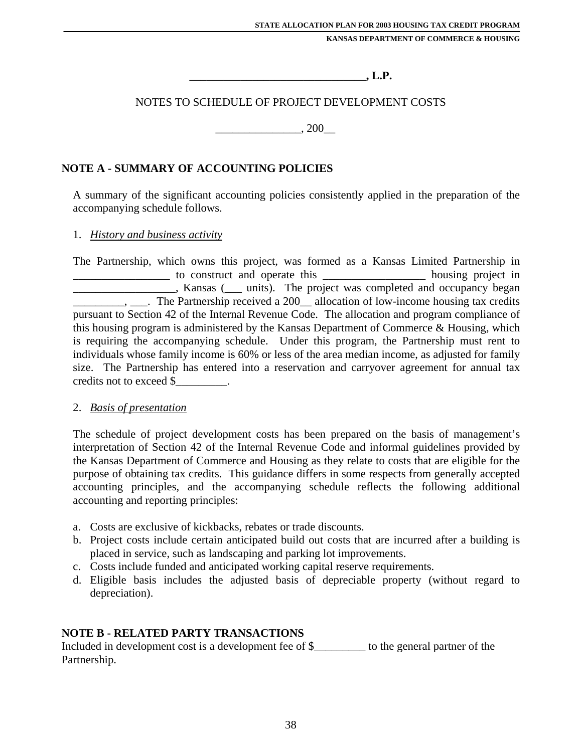$\blacksquare$ , L.P.

### NOTES TO SCHEDULE OF PROJECT DEVELOPMENT COSTS

 $, 200$ 

### **NOTE A - SUMMARY OF ACCOUNTING POLICIES**

A summary of the significant accounting policies consistently applied in the preparation of the accompanying schedule follows.

#### 1. *History and business activity*

The Partnership, which owns this project, was formed as a Kansas Limited Partnership in \_\_\_\_\_\_\_\_\_\_\_\_\_\_\_\_\_ to construct and operate this \_\_\_\_\_\_\_\_\_\_\_\_\_\_\_\_\_\_ housing project in \_\_\_\_\_\_\_\_\_\_\_\_\_\_\_\_\_\_, Kansas (\_\_\_ units). The project was completed and occupancy began \_\_\_\_\_\_\_\_\_, \_\_\_. The Partnership received a 200\_\_ allocation of low-income housing tax credits pursuant to Section 42 of the Internal Revenue Code. The allocation and program compliance of this housing program is administered by the Kansas Department of Commerce & Housing, which is requiring the accompanying schedule. Under this program, the Partnership must rent to individuals whose family income is 60% or less of the area median income, as adjusted for family size. The Partnership has entered into a reservation and carryover agreement for annual tax credits not to exceed \$\_\_\_\_\_\_\_\_\_.

#### 2. *Basis of presentation*

The schedule of project development costs has been prepared on the basis of management's interpretation of Section 42 of the Internal Revenue Code and informal guidelines provided by the Kansas Department of Commerce and Housing as they relate to costs that are eligible for the purpose of obtaining tax credits. This guidance differs in some respects from generally accepted accounting principles, and the accompanying schedule reflects the following additional accounting and reporting principles:

- a. Costs are exclusive of kickbacks, rebates or trade discounts.
- b. Project costs include certain anticipated build out costs that are incurred after a building is placed in service, such as landscaping and parking lot improvements.
- c. Costs include funded and anticipated working capital reserve requirements.
- d. Eligible basis includes the adjusted basis of depreciable property (without regard to depreciation).

#### **NOTE B - RELATED PARTY TRANSACTIONS**

Included in development cost is a development fee of \$\_\_\_\_\_\_\_\_\_ to the general partner of the Partnership.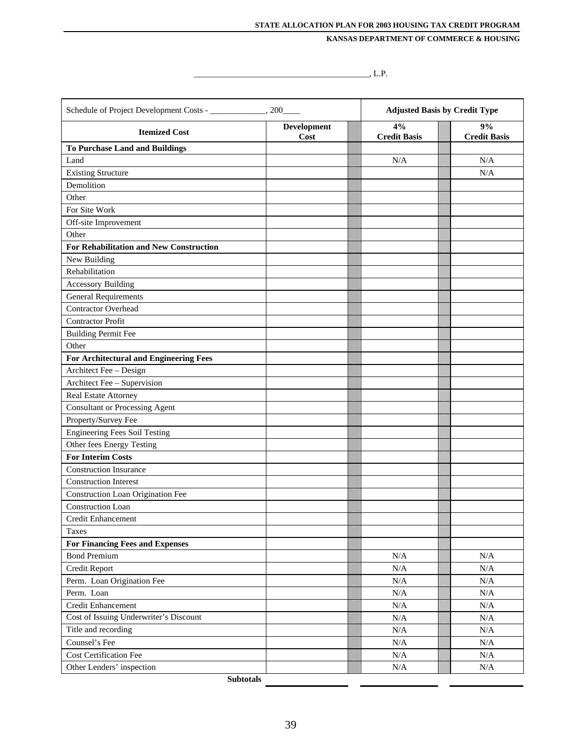$\overline{\phantom{a}}$  . L.P.

| Schedule of Project Development Costs - _____________, 200_         |                            | <b>Adjusted Basis by Credit Type</b> |                           |
|---------------------------------------------------------------------|----------------------------|--------------------------------------|---------------------------|
| <b>Itemized Cost</b>                                                | <b>Development</b><br>Cost | 4%<br><b>Credit Basis</b>            | 9%<br><b>Credit Basis</b> |
| <b>To Purchase Land and Buildings</b>                               |                            |                                      |                           |
| Land                                                                |                            | N/A                                  | N/A                       |
| <b>Existing Structure</b>                                           |                            |                                      | N/A                       |
| Demolition                                                          |                            |                                      |                           |
| Other                                                               |                            |                                      |                           |
| For Site Work                                                       |                            |                                      |                           |
| Off-site Improvement                                                |                            |                                      |                           |
| Other                                                               |                            |                                      |                           |
| <b>For Rehabilitation and New Construction</b>                      |                            |                                      |                           |
| New Building<br>Rehabilitation                                      |                            |                                      |                           |
|                                                                     |                            |                                      |                           |
| <b>Accessory Building</b><br><b>General Requirements</b>            |                            |                                      |                           |
| <b>Contractor Overhead</b>                                          |                            |                                      |                           |
| <b>Contractor Profit</b>                                            |                            |                                      |                           |
| <b>Building Permit Fee</b>                                          |                            |                                      |                           |
| Other                                                               |                            |                                      |                           |
| <b>For Architectural and Engineering Fees</b>                       |                            |                                      |                           |
| Architect Fee - Design                                              |                            |                                      |                           |
| Architect Fee - Supervision                                         |                            |                                      |                           |
| Real Estate Attorney                                                |                            |                                      |                           |
| <b>Consultant or Processing Agent</b>                               |                            |                                      |                           |
| Property/Survey Fee                                                 |                            |                                      |                           |
| <b>Engineering Fees Soil Testing</b>                                |                            |                                      |                           |
| Other fees Energy Testing                                           |                            |                                      |                           |
| <b>For Interim Costs</b>                                            |                            |                                      |                           |
| <b>Construction Insurance</b>                                       |                            |                                      |                           |
| <b>Construction Interest</b>                                        |                            |                                      |                           |
| Construction Loan Origination Fee                                   |                            |                                      |                           |
| <b>Construction Loan</b>                                            |                            |                                      |                           |
| Credit Enhancement                                                  |                            |                                      |                           |
| <b>Taxes</b>                                                        |                            |                                      |                           |
| <b>For Financing Fees and Expenses</b>                              |                            |                                      |                           |
| <b>Bond Premium</b>                                                 |                            | N/A                                  | N/A                       |
| Credit Report                                                       |                            | N/A                                  | N/A                       |
| Perm. Loan Origination Fee                                          |                            | $\rm N/A$                            | $\rm N/A$                 |
| Perm. Loan                                                          |                            | N/A                                  | N/A                       |
| <b>Credit Enhancement</b><br>Cost of Issuing Underwriter's Discount |                            | $\rm N/A$<br>$\rm N/A$               | N/A<br>$\rm N/A$          |
| Title and recording                                                 |                            | $\rm N/A$                            | $\rm N/A$                 |
| Counsel's Fee                                                       |                            | $\rm N/A$                            | $\rm N/A$                 |
| Cost Certification Fee                                              |                            | $\rm N/A$                            | $\rm N/A$                 |
| Other Lenders' inspection                                           |                            | N/A                                  | N/A                       |
| <b>Subtotals</b>                                                    |                            |                                      |                           |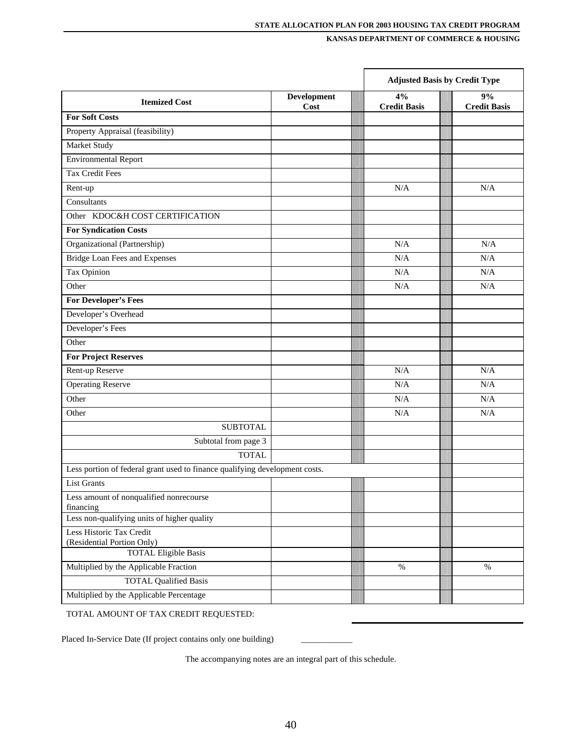|                                                                             |                            | <b>Adjusted Basis by Credit Type</b> |                           |
|-----------------------------------------------------------------------------|----------------------------|--------------------------------------|---------------------------|
| <b>Itemized Cost</b>                                                        | <b>Development</b><br>Cost | 4%<br><b>Credit Basis</b>            | 9%<br><b>Credit Basis</b> |
| <b>For Soft Costs</b>                                                       |                            |                                      |                           |
| Property Appraisal (feasibility)                                            |                            |                                      |                           |
| Market Study                                                                |                            |                                      |                           |
| <b>Environmental Report</b>                                                 |                            |                                      |                           |
| Tax Credit Fees                                                             |                            |                                      |                           |
| Rent-up                                                                     |                            | N/A                                  | N/A                       |
| Consultants                                                                 |                            |                                      |                           |
| Other KDOC&H COST CERTIFICATION                                             |                            |                                      |                           |
| <b>For Syndication Costs</b>                                                |                            |                                      |                           |
| Organizational (Partnership)                                                |                            | N/A                                  | N/A                       |
| <b>Bridge Loan Fees and Expenses</b>                                        |                            | N/A                                  | N/A                       |
| Tax Opinion                                                                 |                            | N/A                                  | N/A                       |
| Other                                                                       |                            | N/A                                  | N/A                       |
| For Developer's Fees                                                        |                            |                                      |                           |
| Developer's Overhead                                                        |                            |                                      |                           |
| Developer's Fees                                                            |                            |                                      |                           |
| Other                                                                       |                            |                                      |                           |
| <b>For Project Reserves</b>                                                 |                            |                                      |                           |
| Rent-up Reserve                                                             |                            | N/A                                  | N/A                       |
| <b>Operating Reserve</b>                                                    |                            | N/A                                  | N/A                       |
| Other                                                                       |                            | N/A                                  | N/A                       |
| Other                                                                       |                            | N/A                                  | N/A                       |
| <b>SUBTOTAL</b>                                                             |                            |                                      |                           |
| Subtotal from page 3                                                        |                            |                                      |                           |
| <b>TOTAL</b>                                                                |                            |                                      |                           |
| Less portion of federal grant used to finance qualifying development costs. |                            |                                      |                           |
| <b>List Grants</b>                                                          |                            |                                      |                           |
| Less amount of nonqualified nonrecourse<br>financing                        |                            |                                      |                           |
| Less non-qualifying units of higher quality                                 |                            |                                      |                           |
| Less Historic Tax Credit<br>(Residential Portion Only)                      |                            |                                      |                           |
| <b>TOTAL Eligible Basis</b>                                                 |                            |                                      |                           |
| Multiplied by the Applicable Fraction                                       |                            | $\%$                                 | $\%$                      |
| <b>TOTAL Qualified Basis</b>                                                |                            |                                      |                           |
| Multiplied by the Applicable Percentage                                     |                            |                                      |                           |

TOTAL AMOUNT OF TAX CREDIT REQUESTED:

Placed In-Service Date (If project contains only one building)

The accompanying notes are an integral part of this schedule.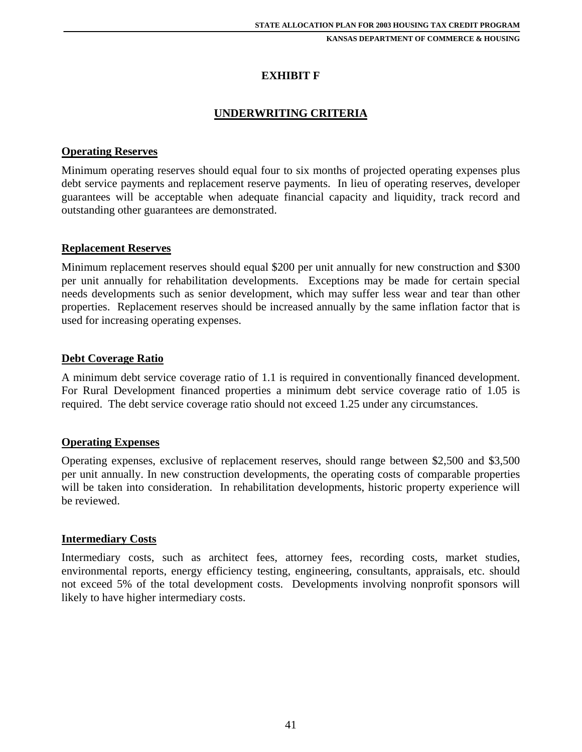### **EXHIBIT F**

#### **UNDERWRITING CRITERIA**

#### **Operating Reserves**

Minimum operating reserves should equal four to six months of projected operating expenses plus debt service payments and replacement reserve payments. In lieu of operating reserves, developer guarantees will be acceptable when adequate financial capacity and liquidity, track record and outstanding other guarantees are demonstrated.

#### **Replacement Reserves**

Minimum replacement reserves should equal \$200 per unit annually for new construction and \$300 per unit annually for rehabilitation developments. Exceptions may be made for certain special needs developments such as senior development, which may suffer less wear and tear than other properties. Replacement reserves should be increased annually by the same inflation factor that is used for increasing operating expenses.

#### **Debt Coverage Ratio**

A minimum debt service coverage ratio of 1.1 is required in conventionally financed development. For Rural Development financed properties a minimum debt service coverage ratio of 1.05 is required. The debt service coverage ratio should not exceed 1.25 under any circumstances.

#### **Operating Expenses**

Operating expenses, exclusive of replacement reserves, should range between \$2,500 and \$3,500 per unit annually. In new construction developments, the operating costs of comparable properties will be taken into consideration. In rehabilitation developments, historic property experience will be reviewed.

#### **Intermediary Costs**

Intermediary costs, such as architect fees, attorney fees, recording costs, market studies, environmental reports, energy efficiency testing, engineering, consultants, appraisals, etc. should not exceed 5% of the total development costs. Developments involving nonprofit sponsors will likely to have higher intermediary costs.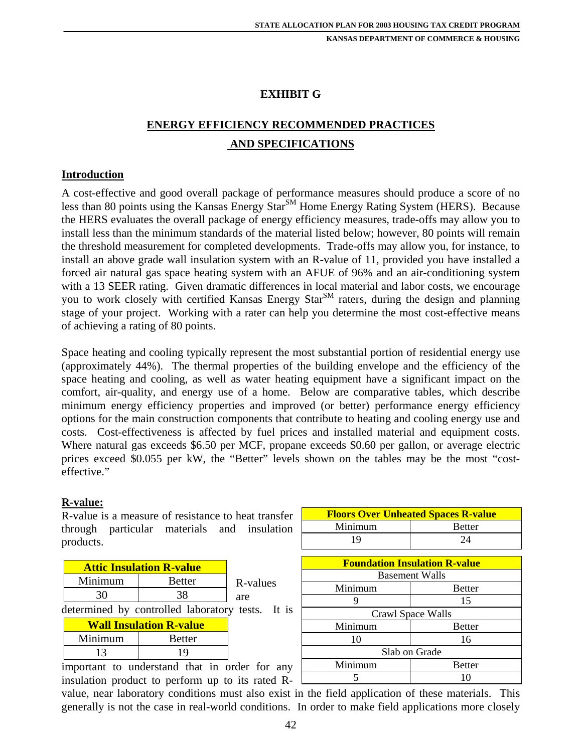### **EXHIBIT G**

# **ENERGY EFFICIENCY RECOMMENDED PRACTICES AND SPECIFICATIONS**

#### **Introduction**

A cost-effective and good overall package of performance measures should produce a score of no less than 80 points using the Kansas Energy Star<sup>SM</sup> Home Energy Rating System (HERS). Because the HERS evaluates the overall package of energy efficiency measures, trade-offs may allow you to install less than the minimum standards of the material listed below; however, 80 points will remain the threshold measurement for completed developments. Trade-offs may allow you, for instance, to install an above grade wall insulation system with an R-value of 11, provided you have installed a forced air natural gas space heating system with an AFUE of 96% and an air-conditioning system with a 13 SEER rating. Given dramatic differences in local material and labor costs, we encourage you to work closely with certified Kansas Energy Star<sup>SM</sup> raters, during the design and planning stage of your project. Working with a rater can help you determine the most cost-effective means of achieving a rating of 80 points.

Space heating and cooling typically represent the most substantial portion of residential energy use (approximately 44%). The thermal properties of the building envelope and the efficiency of the space heating and cooling, as well as water heating equipment have a significant impact on the comfort, air-quality, and energy use of a home. Below are comparative tables, which describe minimum energy efficiency properties and improved (or better) performance energy efficiency options for the main construction components that contribute to heating and cooling energy use and costs. Cost-effectiveness is affected by fuel prices and installed material and equipment costs. Where natural gas exceeds \$6.50 per MCF, propane exceeds \$0.60 per gallon, or average electric prices exceed \$0.055 per kW, the "Better" levels shown on the tables may be the most "costeffective."

#### **R-value:**

R-value is a measure of resistance to heat transfer through particular materials and insulation products.

| <b>Attic Insulation R-value</b> |               |          |
|---------------------------------|---------------|----------|
| Minimum                         | <b>Better</b> | R-values |
| 30                              | 38            | are      |

determined by controlled laboratory tests. It is

| <b>Wall Insulation R-value</b> |    |  |
|--------------------------------|----|--|
| Minimum<br><b>Better</b>       |    |  |
| 13                             | 19 |  |

important to understand that in order for any insulation product to perform up to its rated R-

19 24 **Foundation Insulation R-value**  Basement Walls Minimum | Better 9 15 Crawl Space Walls Minimum Better 10 16 Slab on Grade Minimum Better 5 10

**Floors Over Unheated Spaces R-value**  Minimum Better

value, near laboratory conditions must also exist in the field application of these materials. This generally is not the case in real-world conditions. In order to make field applications more closely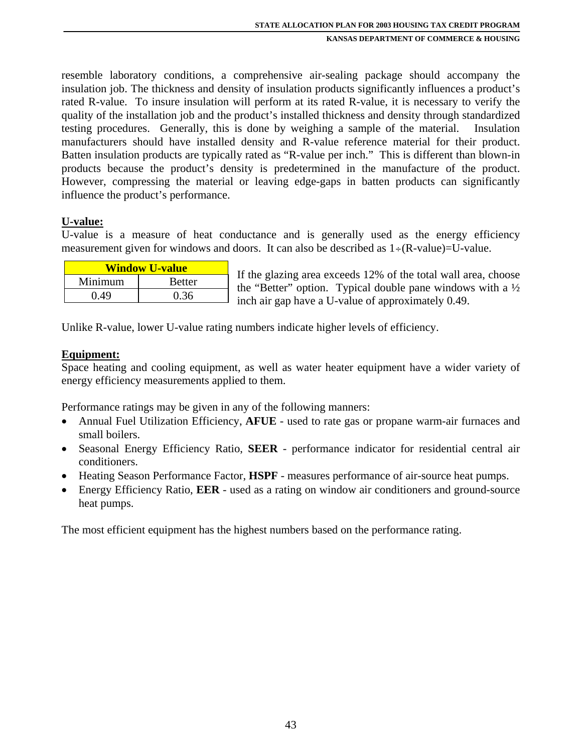resemble laboratory conditions, a comprehensive air-sealing package should accompany the insulation job. The thickness and density of insulation products significantly influences a product's rated R-value. To insure insulation will perform at its rated R-value, it is necessary to verify the quality of the installation job and the product's installed thickness and density through standardized testing procedures. Generally, this is done by weighing a sample of the material. Insulation manufacturers should have installed density and R-value reference material for their product. Batten insulation products are typically rated as "R-value per inch." This is different than blown-in products because the product's density is predetermined in the manufacture of the product. However, compressing the material or leaving edge-gaps in batten products can significantly influence the product's performance.

#### **U-value:**

U-value is a measure of heat conductance and is generally used as the energy efficiency measurement given for windows and doors. It can also be described as  $1 \div (R$ -value)=U-value.

| <b>Window U-value</b>    |      |  |
|--------------------------|------|--|
| Minimum<br><b>Better</b> |      |  |
| 0.49                     | 0.36 |  |

If the glazing area exceeds 12% of the total wall area, choose the "Better" option. Typical double pane windows with a  $\frac{1}{2}$ inch air gap have a U-value of approximately 0.49.

Unlike R-value, lower U-value rating numbers indicate higher levels of efficiency.

#### **Equipment:**

Space heating and cooling equipment, as well as water heater equipment have a wider variety of energy efficiency measurements applied to them.

Performance ratings may be given in any of the following manners:

- Annual Fuel Utilization Efficiency, **AFUE** used to rate gas or propane warm-air furnaces and small boilers.
- Seasonal Energy Efficiency Ratio, **SEER** performance indicator for residential central air conditioners.
- Heating Season Performance Factor, **HSPF** measures performance of air-source heat pumps.
- Energy Efficiency Ratio, **EER**  used as a rating on window air conditioners and ground-source heat pumps.

The most efficient equipment has the highest numbers based on the performance rating.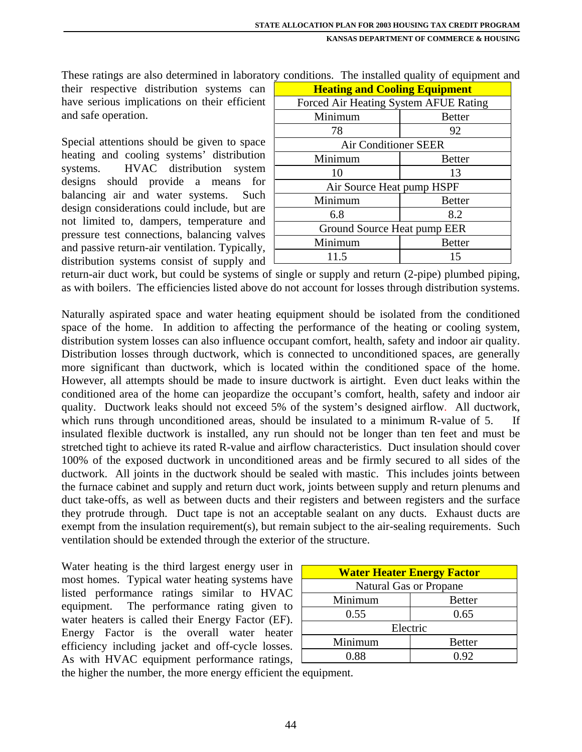These ratings are also determined in laboratory conditions. The installed quality of equipment and

their respective distribution systems can have serious implications on their efficient and safe operation.

Special attentions should be given to space heating and cooling systems' distribution systems. HVAC distribution system designs should provide a means for balancing air and water systems. Such design considerations could include, but are not limited to, dampers, temperature and pressure test connections, balancing valves and passive return-air ventilation. Typically, distribution systems consist of supply and

| <b>Heating and Cooling Equipment</b>  |               |  |  |
|---------------------------------------|---------------|--|--|
| Forced Air Heating System AFUE Rating |               |  |  |
| Minimum                               | <b>Better</b> |  |  |
| 78                                    | 92            |  |  |
| <b>Air Conditioner SEER</b>           |               |  |  |
| Minimum                               | <b>Better</b> |  |  |
| 10                                    | 13            |  |  |
| Air Source Heat pump HSPF             |               |  |  |
| Minimum                               | <b>Better</b> |  |  |
| 6.8                                   | 8.2           |  |  |
| Ground Source Heat pump EER           |               |  |  |
| Minimum<br><b>Better</b>              |               |  |  |
| 11.5<br>15                            |               |  |  |

return-air duct work, but could be systems of single or supply and return (2-pipe) plumbed piping, as with boilers. The efficiencies listed above do not account for losses through distribution systems.

Naturally aspirated space and water heating equipment should be isolated from the conditioned space of the home. In addition to affecting the performance of the heating or cooling system, distribution system losses can also influence occupant comfort, health, safety and indoor air quality. Distribution losses through ductwork, which is connected to unconditioned spaces, are generally more significant than ductwork, which is located within the conditioned space of the home. However, all attempts should be made to insure ductwork is airtight. Even duct leaks within the conditioned area of the home can jeopardize the occupant's comfort, health, safety and indoor air quality. Ductwork leaks should not exceed 5% of the system's designed airflow. All ductwork, which runs through unconditioned areas, should be insulated to a minimum R-value of 5. If insulated flexible ductwork is installed, any run should not be longer than ten feet and must be stretched tight to achieve its rated R-value and airflow characteristics. Duct insulation should cover 100% of the exposed ductwork in unconditioned areas and be firmly secured to all sides of the ductwork. All joints in the ductwork should be sealed with mastic. This includes joints between the furnace cabinet and supply and return duct work, joints between supply and return plenums and duct take-offs, as well as between ducts and their registers and between registers and the surface they protrude through. Duct tape is not an acceptable sealant on any ducts. Exhaust ducts are exempt from the insulation requirement(s), but remain subject to the air-sealing requirements. Such ventilation should be extended through the exterior of the structure.

Water heating is the third largest energy user in most homes. Typical water heating systems have listed performance ratings similar to HVAC equipment. The performance rating given to water heaters is called their Energy Factor (EF). Energy Factor is the overall water heater efficiency including jacket and off-cycle losses. As with HVAC equipment performance ratings,  $\Box$ 

| <b>Water Heater Energy Factor</b> |  |  |
|-----------------------------------|--|--|
| <b>Natural Gas or Propane</b>     |  |  |
| Minimum<br><b>Better</b>          |  |  |
| 0.55<br>0.65                      |  |  |
| Electric                          |  |  |
| Minimum<br><b>Better</b>          |  |  |
| 0 88<br>0.92                      |  |  |

the higher the number, the more energy efficient the equipment.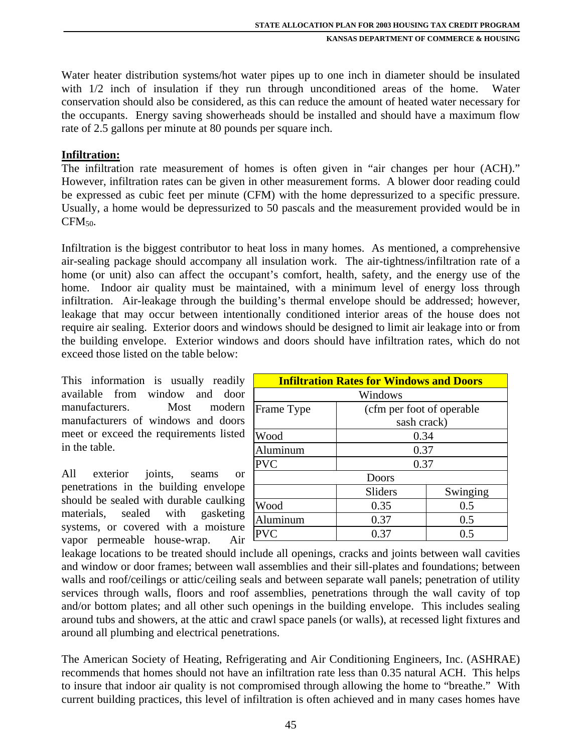Water heater distribution systems/hot water pipes up to one inch in diameter should be insulated with  $1/2$  inch of insulation if they run through unconditioned areas of the home. Water conservation should also be considered, as this can reduce the amount of heated water necessary for the occupants. Energy saving showerheads should be installed and should have a maximum flow rate of 2.5 gallons per minute at 80 pounds per square inch.

#### **Infiltration:**

The infiltration rate measurement of homes is often given in "air changes per hour (ACH)." However, infiltration rates can be given in other measurement forms. A blower door reading could be expressed as cubic feet per minute (CFM) with the home depressurized to a specific pressure. Usually, a home would be depressurized to 50 pascals and the measurement provided would be in  $CFM_{50}$ .

Infiltration is the biggest contributor to heat loss in many homes. As mentioned, a comprehensive air-sealing package should accompany all insulation work. The air-tightness/infiltration rate of a home (or unit) also can affect the occupant's comfort, health, safety, and the energy use of the home. Indoor air quality must be maintained, with a minimum level of energy loss through infiltration. Air-leakage through the building's thermal envelope should be addressed; however, leakage that may occur between intentionally conditioned interior areas of the house does not require air sealing. Exterior doors and windows should be designed to limit air leakage into or from the building envelope. Exterior windows and doors should have infiltration rates, which do not exceed those listed on the table below:

This information is usually readily available from window and door manufacturers. Most modern manufacturers of windows and doors meet or exceed the requirements listed in the table.

All exterior joints, seams or penetrations in the building envelope should be sealed with durable caulking materials, sealed with gasketing systems, or covered with a moisture vapor permeable house-wrap. Air

| <b>Infiltration Rates for Windows and Doors</b> |                            |      |  |  |
|-------------------------------------------------|----------------------------|------|--|--|
| Windows                                         |                            |      |  |  |
| Frame Type                                      | (cfm per foot of operable) |      |  |  |
|                                                 | sash crack)                |      |  |  |
| Wood                                            |                            | 0.34 |  |  |
| Aluminum                                        | 0.37                       |      |  |  |
| <b>PVC</b>                                      | 0.37                       |      |  |  |
| Doors                                           |                            |      |  |  |
| Swinging<br>Sliders                             |                            |      |  |  |
| Wood                                            | 0.35<br>0.5                |      |  |  |
| Aluminum                                        | 0.37                       | 0.5  |  |  |
| <b>PVC</b>                                      | 0.37                       | 0.5  |  |  |

leakage locations to be treated should include all openings, cracks and joints between wall cavities and window or door frames; between wall assemblies and their sill-plates and foundations; between walls and roof/ceilings or attic/ceiling seals and between separate wall panels; penetration of utility services through walls, floors and roof assemblies, penetrations through the wall cavity of top and/or bottom plates; and all other such openings in the building envelope. This includes sealing around tubs and showers, at the attic and crawl space panels (or walls), at recessed light fixtures and around all plumbing and electrical penetrations.

The American Society of Heating, Refrigerating and Air Conditioning Engineers, Inc. (ASHRAE) recommends that homes should not have an infiltration rate less than 0.35 natural ACH. This helps to insure that indoor air quality is not compromised through allowing the home to "breathe." With current building practices, this level of infiltration is often achieved and in many cases homes have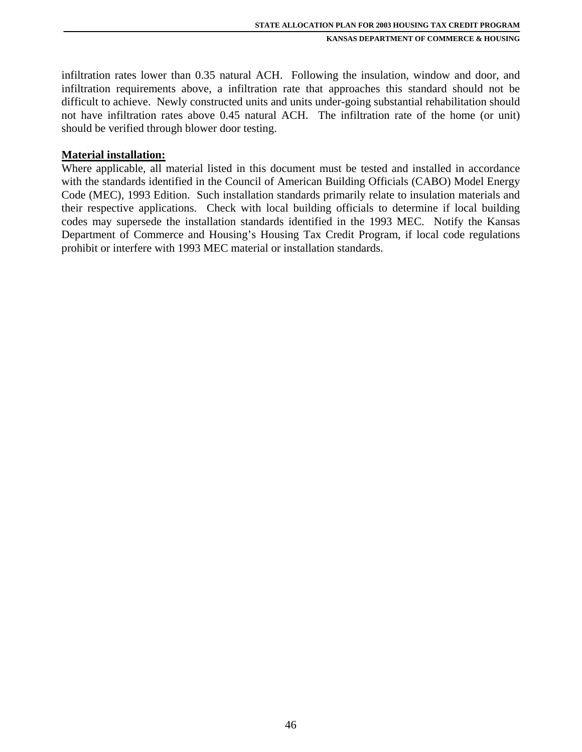infiltration rates lower than 0.35 natural ACH. Following the insulation, window and door, and infiltration requirements above, a infiltration rate that approaches this standard should not be difficult to achieve. Newly constructed units and units under-going substantial rehabilitation should not have infiltration rates above 0.45 natural ACH. The infiltration rate of the home (or unit) should be verified through blower door testing.

#### **Material installation:**

Where applicable, all material listed in this document must be tested and installed in accordance with the standards identified in the Council of American Building Officials (CABO) Model Energy Code (MEC), 1993 Edition. Such installation standards primarily relate to insulation materials and their respective applications. Check with local building officials to determine if local building codes may supersede the installation standards identified in the 1993 MEC. Notify the Kansas Department of Commerce and Housing's Housing Tax Credit Program, if local code regulations prohibit or interfere with 1993 MEC material or installation standards.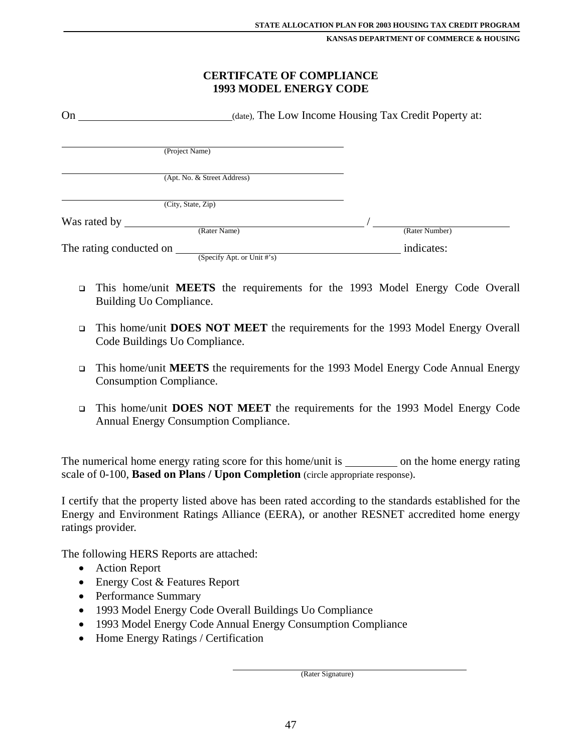#### **CERTIFCATE OF COMPLIANCE 1993 MODEL ENERGY CODE**

| On                      |                             | (date), The Low Income Housing Tax Credit Poperty at: |                |  |
|-------------------------|-----------------------------|-------------------------------------------------------|----------------|--|
|                         | (Project Name)              |                                                       |                |  |
|                         | (Apt. No. & Street Address) |                                                       |                |  |
|                         | (City, State, Zip)          |                                                       |                |  |
| Was rated by            | (Rater Name)                |                                                       | (Rater Number) |  |
| The rating conducted on | (Specify Apt. or Unit #'s)  |                                                       | indicates:     |  |

- This home/unit **MEETS** the requirements for the 1993 Model Energy Code Overall Building Uo Compliance.
- This home/unit **DOES NOT MEET** the requirements for the 1993 Model Energy Overall Code Buildings Uo Compliance.
- This home/unit **MEETS** the requirements for the 1993 Model Energy Code Annual Energy Consumption Compliance.
- This home/unit **DOES NOT MEET** the requirements for the 1993 Model Energy Code Annual Energy Consumption Compliance.

The numerical home energy rating score for this home/unit is \_\_\_\_\_\_\_\_\_\_ on the home energy rating scale of 0-100, **Based on Plans / Upon Completion** (circle appropriate response).

I certify that the property listed above has been rated according to the standards established for the Energy and Environment Ratings Alliance (EERA), or another RESNET accredited home energy ratings provider.

The following HERS Reports are attached:

- Action Report
- Energy Cost & Features Report
- Performance Summary
- 1993 Model Energy Code Overall Buildings Uo Compliance
- 1993 Model Energy Code Annual Energy Consumption Compliance
- Home Energy Ratings / Certification

(Rater Signature)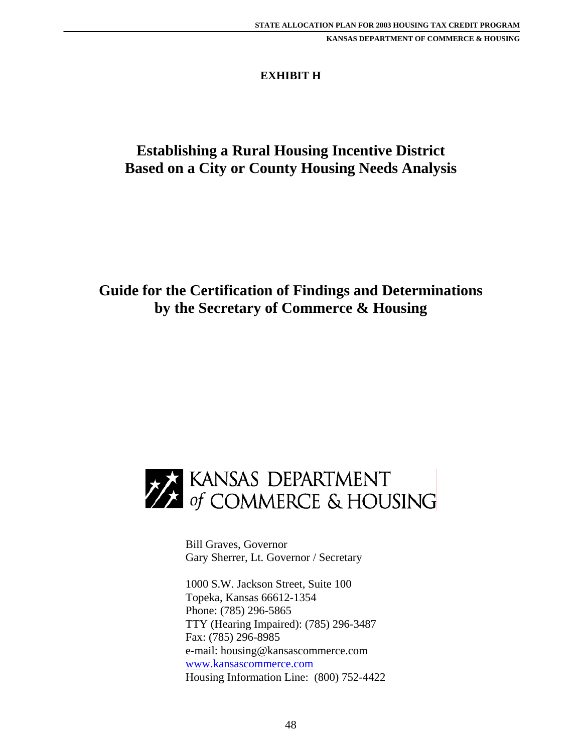## **EXHIBIT H**

# **Establishing a Rural Housing Incentive District Based on a City or County Housing Needs Analysis**

# **Guide for the Certification of Findings and Determinations by the Secretary of Commerce & Housing**



 Bill Graves, Governor Gary Sherrer, Lt. Governor / Secretary

 1000 S.W. Jackson Street, Suite 100 Topeka, Kansas 66612-1354 Phone: (785) 296-5865 TTY (Hearing Impaired): (785) 296-3487 Fax: (785) 296-8985 e-mail: housing@kansascommerce.com www.kansascommerce.com Housing Information Line: (800) 752-4422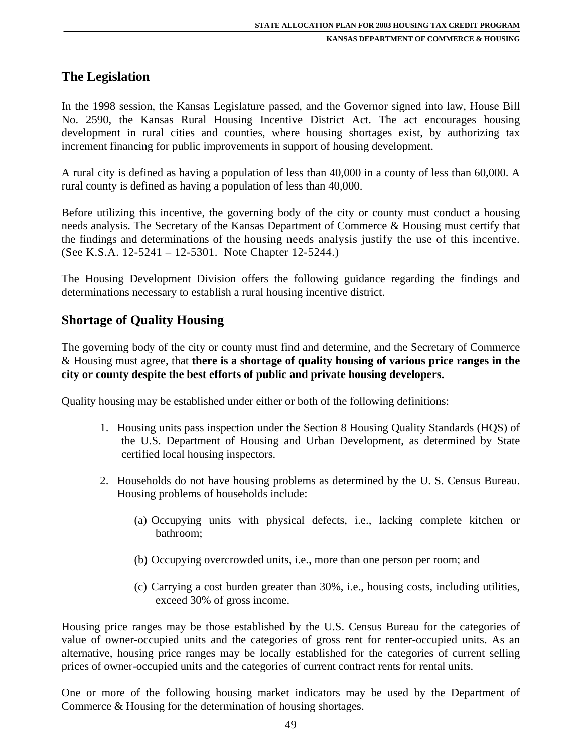## **The Legislation**

In the 1998 session, the Kansas Legislature passed, and the Governor signed into law, House Bill No. 2590, the Kansas Rural Housing Incentive District Act. The act encourages housing development in rural cities and counties, where housing shortages exist, by authorizing tax increment financing for public improvements in support of housing development.

A rural city is defined as having a population of less than 40,000 in a county of less than 60,000. A rural county is defined as having a population of less than 40,000.

Before utilizing this incentive, the governing body of the city or county must conduct a housing needs analysis. The Secretary of the Kansas Department of Commerce & Housing must certify that the findings and determinations of the housing needs analysis justify the use of this incentive. (See K.S.A. 12-5241 – 12-5301. Note Chapter 12-5244.)

The Housing Development Division offers the following guidance regarding the findings and determinations necessary to establish a rural housing incentive district.

## **Shortage of Quality Housing**

The governing body of the city or county must find and determine, and the Secretary of Commerce & Housing must agree, that **there is a shortage of quality housing of various price ranges in the city or county despite the best efforts of public and private housing developers.** 

Quality housing may be established under either or both of the following definitions:

- 1. Housing units pass inspection under the Section 8 Housing Quality Standards (HQS) of the U.S. Department of Housing and Urban Development, as determined by State certified local housing inspectors.
- 2. Households do not have housing problems as determined by the U. S. Census Bureau. Housing problems of households include:
	- (a) Occupying units with physical defects, i.e., lacking complete kitchen or bathroom;
	- (b) Occupying overcrowded units, i.e., more than one person per room; and
	- (c) Carrying a cost burden greater than 30%, i.e., housing costs, including utilities, exceed 30% of gross income.

Housing price ranges may be those established by the U.S. Census Bureau for the categories of value of owner-occupied units and the categories of gross rent for renter-occupied units. As an alternative, housing price ranges may be locally established for the categories of current selling prices of owner-occupied units and the categories of current contract rents for rental units.

One or more of the following housing market indicators may be used by the Department of Commerce & Housing for the determination of housing shortages.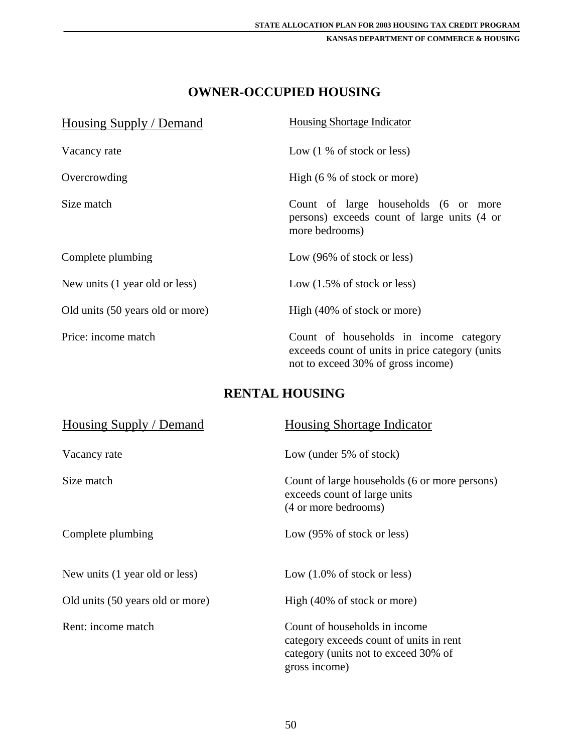# **OWNER-OCCUPIED HOUSING**

| Housing Supply / Demand          | <b>Housing Shortage Indicator</b>                                                                                               |
|----------------------------------|---------------------------------------------------------------------------------------------------------------------------------|
| Vacancy rate                     | Low $(1\%$ of stock or less)                                                                                                    |
| Overcrowding                     | High $(6\% \text{ of stock or more})$                                                                                           |
| Size match                       | Count of large households (6 or more<br>persons) exceeds count of large units (4 or<br>more bedrooms)                           |
| Complete plumbing                | Low (96% of stock or less)                                                                                                      |
| New units (1 year old or less)   | Low $(1.5\% \text{ of stock or less})$                                                                                          |
| Old units (50 years old or more) | High (40% of stock or more)                                                                                                     |
| Price: income match              | Count of households in income category<br>exceeds count of units in price category (units<br>not to exceed 30% of gross income) |

# **RENTAL HOUSING**

| Housing Supply / Demand          | <b>Housing Shortage Indicator</b>                                                                                                 |
|----------------------------------|-----------------------------------------------------------------------------------------------------------------------------------|
| Vacancy rate                     | Low (under $5\%$ of stock)                                                                                                        |
| Size match                       | Count of large households (6 or more persons)<br>exceeds count of large units<br>(4 or more bedrooms)                             |
| Complete plumbing                | Low $(95\% \text{ of stock or less})$                                                                                             |
| New units (1 year old or less)   | Low $(1.0\% \text{ of stock or less})$                                                                                            |
| Old units (50 years old or more) | High (40% of stock or more)                                                                                                       |
| Rent: income match               | Count of households in income<br>category exceeds count of units in rent<br>category (units not to exceed 30% of<br>gross income) |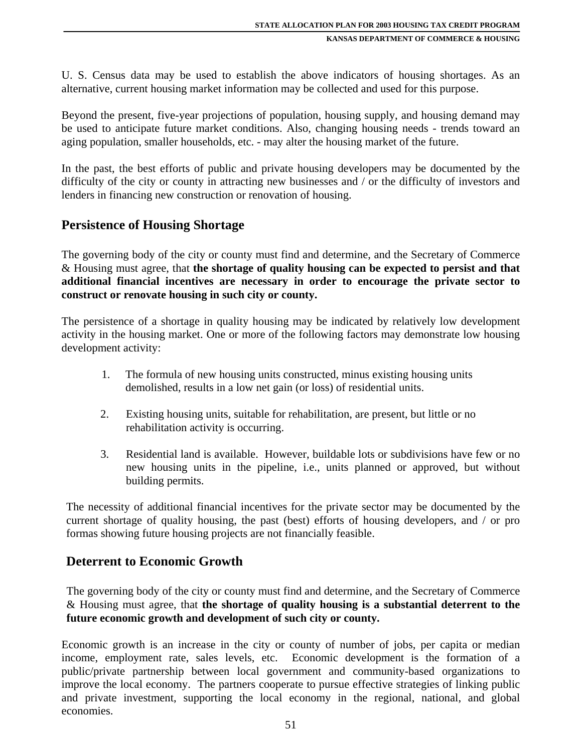U. S. Census data may be used to establish the above indicators of housing shortages. As an alternative, current housing market information may be collected and used for this purpose.

Beyond the present, five-year projections of population, housing supply, and housing demand may be used to anticipate future market conditions. Also, changing housing needs - trends toward an aging population, smaller households, etc. - may alter the housing market of the future.

In the past, the best efforts of public and private housing developers may be documented by the difficulty of the city or county in attracting new businesses and / or the difficulty of investors and lenders in financing new construction or renovation of housing.

## **Persistence of Housing Shortage**

The governing body of the city or county must find and determine, and the Secretary of Commerce & Housing must agree, that **the shortage of quality housing can be expected to persist and that additional financial incentives are necessary in order to encourage the private sector to construct or renovate housing in such city or county.** 

The persistence of a shortage in quality housing may be indicated by relatively low development activity in the housing market. One or more of the following factors may demonstrate low housing development activity:

- 1. The formula of new housing units constructed, minus existing housing units demolished, results in a low net gain (or loss) of residential units.
- 2. Existing housing units, suitable for rehabilitation, are present, but little or no rehabilitation activity is occurring.
- 3. Residential land is available. However, buildable lots or subdivisions have few or no new housing units in the pipeline, i.e., units planned or approved, but without building permits.

The necessity of additional financial incentives for the private sector may be documented by the current shortage of quality housing, the past (best) efforts of housing developers, and / or pro formas showing future housing projects are not financially feasible.

## **Deterrent to Economic Growth**

The governing body of the city or county must find and determine, and the Secretary of Commerce & Housing must agree, that **the shortage of quality housing is a substantial deterrent to the future economic growth and development of such city or county.** 

Economic growth is an increase in the city or county of number of jobs, per capita or median income, employment rate, sales levels, etc. Economic development is the formation of a public/private partnership between local government and community-based organizations to improve the local economy. The partners cooperate to pursue effective strategies of linking public and private investment, supporting the local economy in the regional, national, and global economies.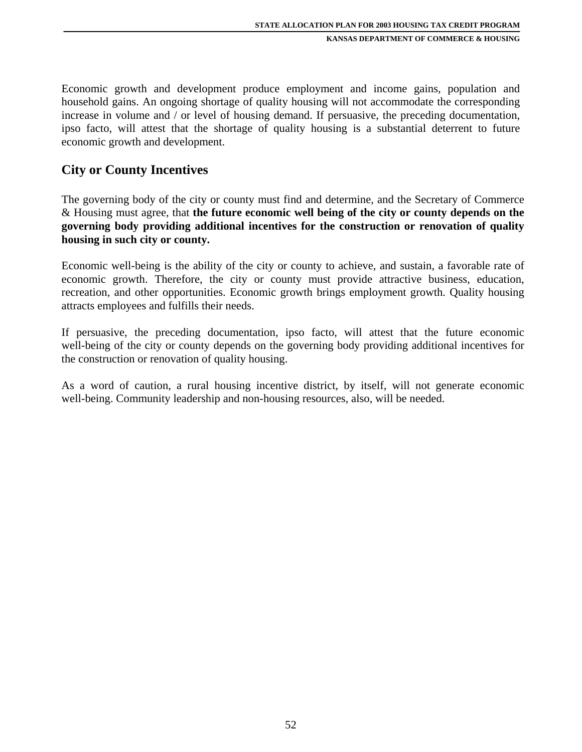Economic growth and development produce employment and income gains, population and household gains. An ongoing shortage of quality housing will not accommodate the corresponding increase in volume and / or level of housing demand. If persuasive, the preceding documentation, ipso facto, will attest that the shortage of quality housing is a substantial deterrent to future economic growth and development.

## **City or County Incentives**

The governing body of the city or county must find and determine, and the Secretary of Commerce & Housing must agree, that **the future economic well being of the city or county depends on the governing body providing additional incentives for the construction or renovation of quality housing in such city or county.** 

Economic well-being is the ability of the city or county to achieve, and sustain, a favorable rate of economic growth. Therefore, the city or county must provide attractive business, education, recreation, and other opportunities. Economic growth brings employment growth. Quality housing attracts employees and fulfills their needs.

If persuasive, the preceding documentation, ipso facto, will attest that the future economic well-being of the city or county depends on the governing body providing additional incentives for the construction or renovation of quality housing.

As a word of caution, a rural housing incentive district, by itself, will not generate economic well-being. Community leadership and non-housing resources, also, will be needed.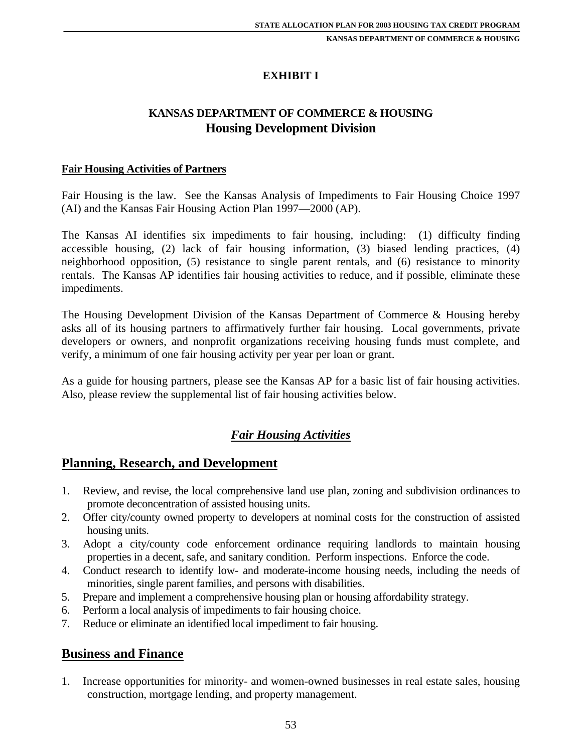## **EXHIBIT I**

## **KANSAS DEPARTMENT OF COMMERCE & HOUSING Housing Development Division**

#### **Fair Housing Activities of Partners**

Fair Housing is the law. See the Kansas Analysis of Impediments to Fair Housing Choice 1997 (AI) and the Kansas Fair Housing Action Plan 1997—2000 (AP).

The Kansas AI identifies six impediments to fair housing, including: (1) difficulty finding accessible housing, (2) lack of fair housing information, (3) biased lending practices, (4) neighborhood opposition, (5) resistance to single parent rentals, and (6) resistance to minority rentals. The Kansas AP identifies fair housing activities to reduce, and if possible, eliminate these impediments.

The Housing Development Division of the Kansas Department of Commerce & Housing hereby asks all of its housing partners to affirmatively further fair housing. Local governments, private developers or owners, and nonprofit organizations receiving housing funds must complete, and verify, a minimum of one fair housing activity per year per loan or grant.

As a guide for housing partners, please see the Kansas AP for a basic list of fair housing activities. Also, please review the supplemental list of fair housing activities below.

## *Fair Housing Activities*

## **Planning, Research, and Development**

- 1. Review, and revise, the local comprehensive land use plan, zoning and subdivision ordinances to promote deconcentration of assisted housing units.
- 2. Offer city/county owned property to developers at nominal costs for the construction of assisted housing units.
- 3. Adopt a city/county code enforcement ordinance requiring landlords to maintain housing properties in a decent, safe, and sanitary condition. Perform inspections. Enforce the code.
- 4. Conduct research to identify low- and moderate-income housing needs, including the needs of minorities, single parent families, and persons with disabilities.
- 5. Prepare and implement a comprehensive housing plan or housing affordability strategy.
- 6. Perform a local analysis of impediments to fair housing choice.
- 7. Reduce or eliminate an identified local impediment to fair housing.

## **Business and Finance**

1. Increase opportunities for minority- and women-owned businesses in real estate sales, housing construction, mortgage lending, and property management.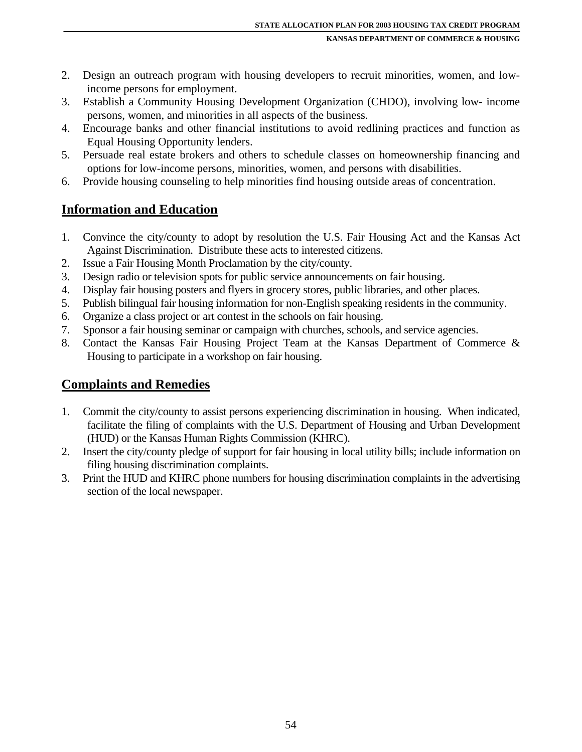- 2. Design an outreach program with housing developers to recruit minorities, women, and lowincome persons for employment.
- 3. Establish a Community Housing Development Organization (CHDO), involving low- income persons, women, and minorities in all aspects of the business.
- 4. Encourage banks and other financial institutions to avoid redlining practices and function as Equal Housing Opportunity lenders.
- 5. Persuade real estate brokers and others to schedule classes on homeownership financing and options for low-income persons, minorities, women, and persons with disabilities.
- 6. Provide housing counseling to help minorities find housing outside areas of concentration.

## **Information and Education**

- 1. Convince the city/county to adopt by resolution the U.S. Fair Housing Act and the Kansas Act Against Discrimination. Distribute these acts to interested citizens.
- 2. Issue a Fair Housing Month Proclamation by the city/county.
- 3. Design radio or television spots for public service announcements on fair housing.
- 4. Display fair housing posters and flyers in grocery stores, public libraries, and other places.
- 5. Publish bilingual fair housing information for non-English speaking residents in the community.
- 6. Organize a class project or art contest in the schools on fair housing.
- 7. Sponsor a fair housing seminar or campaign with churches, schools, and service agencies.
- 8. Contact the Kansas Fair Housing Project Team at the Kansas Department of Commerce & Housing to participate in a workshop on fair housing.

## **Complaints and Remedies**

- 1. Commit the city/county to assist persons experiencing discrimination in housing. When indicated, facilitate the filing of complaints with the U.S. Department of Housing and Urban Development (HUD) or the Kansas Human Rights Commission (KHRC).
- 2. Insert the city/county pledge of support for fair housing in local utility bills; include information on filing housing discrimination complaints.
- 3. Print the HUD and KHRC phone numbers for housing discrimination complaints in the advertising section of the local newspaper.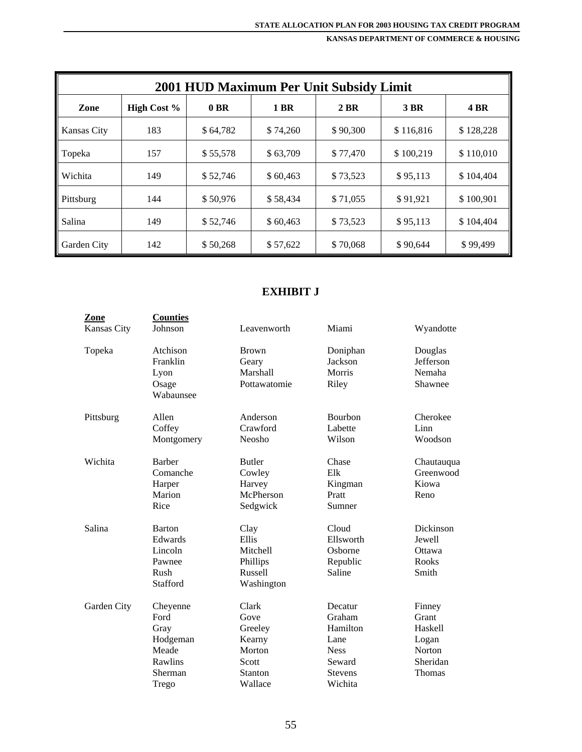| 2001 HUD Maximum Per Unit Subsidy Limit |                    |          |          |          |           |             |
|-----------------------------------------|--------------------|----------|----------|----------|-----------|-------------|
| Zone                                    | <b>High Cost %</b> | $0$ BR   | 1 BR     | 2 BR     | 3 BR      | <b>4 BR</b> |
| Kansas City                             | 183                | \$64,782 | \$74,260 | \$90,300 | \$116,816 | \$128,228   |
| Topeka                                  | 157                | \$55,578 | \$63,709 | \$77,470 | \$100.219 | \$110,010   |
| Wichita                                 | 149                | \$52,746 | \$60,463 | \$73,523 | \$95,113  | \$104,404   |
| Pittsburg                               | 144                | \$50,976 | \$58.434 | \$71,055 | \$91.921  | \$100.901   |
| Salina                                  | 149                | \$52,746 | \$60,463 | \$73,523 | \$95,113  | \$104,404   |
| Garden City                             | 142                | \$50,268 | \$57,622 | \$70,068 | \$90,644  | \$99,499    |

#### **EXHIBIT J**

| <b>Zone</b><br><b>Kansas City</b> | <b>Counties</b><br>Johnson | Leavenworth    | Miami          | Wyandotte  |
|-----------------------------------|----------------------------|----------------|----------------|------------|
| Topeka                            | Atchison                   | <b>Brown</b>   | Doniphan       | Douglas    |
|                                   | Franklin                   | Geary          | Jackson        | Jefferson  |
|                                   | Lyon                       | Marshall       | Morris         | Nemaha     |
|                                   | Osage                      | Pottawatomie   | Riley          | Shawnee    |
|                                   | Wabaunsee                  |                |                |            |
| Pittsburg                         | Allen                      | Anderson       | <b>Bourbon</b> | Cherokee   |
|                                   | Coffey                     | Crawford       | Labette        | Linn       |
|                                   | Montgomery                 | Neosho         | Wilson         | Woodson    |
| Wichita                           | Barber                     | <b>Butler</b>  | Chase          | Chautauqua |
|                                   | Comanche                   | Cowley         | Elk            | Greenwood  |
|                                   | Harper                     | Harvey         | Kingman        | Kiowa      |
|                                   | Marion                     | McPherson      | Pratt          | Reno       |
|                                   | Rice                       | Sedgwick       | Sumner         |            |
| Salina                            | <b>Barton</b>              | Clay           | Cloud          | Dickinson  |
|                                   | Edwards                    | Ellis          | Ellsworth      | Jewell     |
|                                   | Lincoln                    | Mitchell       | Osborne        | Ottawa     |
|                                   | Pawnee                     | Phillips       | Republic       | Rooks      |
|                                   | Rush                       | Russell        | Saline         | Smith      |
|                                   | Stafford                   | Washington     |                |            |
| Garden City                       | Cheyenne                   | Clark          | Decatur        | Finney     |
|                                   | Ford                       | Gove           | Graham         | Grant      |
|                                   | Gray                       | Greeley        | Hamilton       | Haskell    |
|                                   | Hodgeman                   | Kearny         | Lane           | Logan      |
|                                   | Meade                      | Morton         | <b>Ness</b>    | Norton     |
|                                   | Rawlins                    | Scott          | Seward         | Sheridan   |
|                                   | Sherman                    | <b>Stanton</b> | <b>Stevens</b> | Thomas     |
|                                   | Trego                      | Wallace        | Wichita        |            |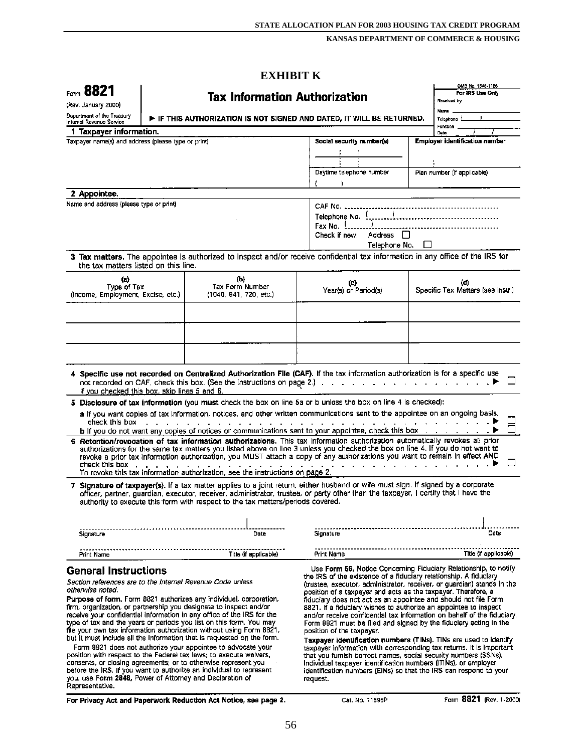|                                                                                                                         |  | <b>EXHIBIT K</b>                                                                                                                                                                                                                                                                                                                                                                                                                                                                                                                                                                                                                                     |                                                                                                                                                                                                                                                                                                                                                                                                                                                                                                                                                                                                                   |                                     |                                               |  |
|-------------------------------------------------------------------------------------------------------------------------|--|------------------------------------------------------------------------------------------------------------------------------------------------------------------------------------------------------------------------------------------------------------------------------------------------------------------------------------------------------------------------------------------------------------------------------------------------------------------------------------------------------------------------------------------------------------------------------------------------------------------------------------------------------|-------------------------------------------------------------------------------------------------------------------------------------------------------------------------------------------------------------------------------------------------------------------------------------------------------------------------------------------------------------------------------------------------------------------------------------------------------------------------------------------------------------------------------------------------------------------------------------------------------------------|-------------------------------------|-----------------------------------------------|--|
| Form 8821                                                                                                               |  |                                                                                                                                                                                                                                                                                                                                                                                                                                                                                                                                                                                                                                                      |                                                                                                                                                                                                                                                                                                                                                                                                                                                                                                                                                                                                                   |                                     | OMB No. 1545-1156<br>For IRS Use Only         |  |
| <b>Tax Information Authorization</b><br>(Rev. January 2000)                                                             |  |                                                                                                                                                                                                                                                                                                                                                                                                                                                                                                                                                                                                                                                      |                                                                                                                                                                                                                                                                                                                                                                                                                                                                                                                                                                                                                   |                                     | Received by:                                  |  |
| Department of the Treasury<br>$\blacktriangleright$ if this authorization is not signed and dated, it will be returned. |  |                                                                                                                                                                                                                                                                                                                                                                                                                                                                                                                                                                                                                                                      |                                                                                                                                                                                                                                                                                                                                                                                                                                                                                                                                                                                                                   |                                     | Nama<br>Telephone :                           |  |
| Internal Revanue Service                                                                                                |  |                                                                                                                                                                                                                                                                                                                                                                                                                                                                                                                                                                                                                                                      |                                                                                                                                                                                                                                                                                                                                                                                                                                                                                                                                                                                                                   |                                     | <b>Function</b>                               |  |
| 1 Taxpayer information.<br>Taxpayer name(s) and address (please type or print)                                          |  |                                                                                                                                                                                                                                                                                                                                                                                                                                                                                                                                                                                                                                                      | Social security number(s)                                                                                                                                                                                                                                                                                                                                                                                                                                                                                                                                                                                         |                                     | Date<br><b>Employer identification number</b> |  |
|                                                                                                                         |  |                                                                                                                                                                                                                                                                                                                                                                                                                                                                                                                                                                                                                                                      |                                                                                                                                                                                                                                                                                                                                                                                                                                                                                                                                                                                                                   |                                     |                                               |  |
|                                                                                                                         |  |                                                                                                                                                                                                                                                                                                                                                                                                                                                                                                                                                                                                                                                      |                                                                                                                                                                                                                                                                                                                                                                                                                                                                                                                                                                                                                   |                                     |                                               |  |
|                                                                                                                         |  |                                                                                                                                                                                                                                                                                                                                                                                                                                                                                                                                                                                                                                                      | Daytime telephone number                                                                                                                                                                                                                                                                                                                                                                                                                                                                                                                                                                                          |                                     | Plan number (if applicable)                   |  |
|                                                                                                                         |  |                                                                                                                                                                                                                                                                                                                                                                                                                                                                                                                                                                                                                                                      |                                                                                                                                                                                                                                                                                                                                                                                                                                                                                                                                                                                                                   |                                     |                                               |  |
| 2 Appointee.                                                                                                            |  |                                                                                                                                                                                                                                                                                                                                                                                                                                                                                                                                                                                                                                                      |                                                                                                                                                                                                                                                                                                                                                                                                                                                                                                                                                                                                                   |                                     |                                               |  |
| Name and address (please type or print)                                                                                 |  |                                                                                                                                                                                                                                                                                                                                                                                                                                                                                                                                                                                                                                                      | Fax No. 1<br>Check if new:<br>Address<br>H<br>Telephone No.                                                                                                                                                                                                                                                                                                                                                                                                                                                                                                                                                       |                                     |                                               |  |
| the tax matters listed on this line.                                                                                    |  | 3 Tax matters. The appointee is authorized to inspect and/or receive confidential tax information in any office of the IRS for                                                                                                                                                                                                                                                                                                                                                                                                                                                                                                                       |                                                                                                                                                                                                                                                                                                                                                                                                                                                                                                                                                                                                                   |                                     |                                               |  |
| (a)                                                                                                                     |  | (b)                                                                                                                                                                                                                                                                                                                                                                                                                                                                                                                                                                                                                                                  |                                                                                                                                                                                                                                                                                                                                                                                                                                                                                                                                                                                                                   |                                     |                                               |  |
| Type of Tax<br>(Income, Employment, Excise, etc.)                                                                       |  | Tax Form Number<br>(1040, 941, 720, etc.)                                                                                                                                                                                                                                                                                                                                                                                                                                                                                                                                                                                                            | (c)<br>Year(s) or Period(s)                                                                                                                                                                                                                                                                                                                                                                                                                                                                                                                                                                                       |                                     | (d)<br>Specific Tax Matters (see instr.)      |  |
|                                                                                                                         |  |                                                                                                                                                                                                                                                                                                                                                                                                                                                                                                                                                                                                                                                      |                                                                                                                                                                                                                                                                                                                                                                                                                                                                                                                                                                                                                   |                                     |                                               |  |
|                                                                                                                         |  |                                                                                                                                                                                                                                                                                                                                                                                                                                                                                                                                                                                                                                                      |                                                                                                                                                                                                                                                                                                                                                                                                                                                                                                                                                                                                                   |                                     |                                               |  |
| if you checked this box, skip lines 5 and 6.<br>check this box                                                          |  | 4 Specific use not recorded on Centralized Authorization File (CAF). If the tax information authorization is for a specific use<br>not recorded on CAF, check this box. (See the Instructions on page 2.)<br>5 Disclosure of tax information (you must check the box on line 5a or b unless the box on line 4 is checked):<br>a If you want copies of tax information, notices, and other written communications sent to the appointee on an ongoing basis,                                                                                                                                                                                          | a carried and a carried and a carried and                                                                                                                                                                                                                                                                                                                                                                                                                                                                                                                                                                         |                                     |                                               |  |
|                                                                                                                         |  | b If you do not want any copies of notices or communications sent to your appointee, check this box                                                                                                                                                                                                                                                                                                                                                                                                                                                                                                                                                  |                                                                                                                                                                                                                                                                                                                                                                                                                                                                                                                                                                                                                   |                                     |                                               |  |
| check this box .                                                                                                        |  | 6 Retention/revocation of tax information authorizations. This tax information authorization automatically revokes all prior<br>authorizations for the same tax matters you listed above on line 3 unless you checked the box on line 4. If you do not want to<br>revoke a prior tax information authorization, you MUST attach a copy of any authorizations you want to remain in effect AND<br>To revoke this tax information authorization, see the instructions on page 2.                                                                                                                                                                       |                                                                                                                                                                                                                                                                                                                                                                                                                                                                                                                                                                                                                   | the contract of the contract of the |                                               |  |
|                                                                                                                         |  | 7 Signature of taxpayer(s). If a tax matter applies to a joint return, either husband or wife must sign. If signed by a corporate<br>officer, partner, guardian, executor, receiver, administrator, trustee, or party other than the taxpayer, I certify that I have the<br>authority to execute this form with respect to the tax matters/periods covered.                                                                                                                                                                                                                                                                                          |                                                                                                                                                                                                                                                                                                                                                                                                                                                                                                                                                                                                                   |                                     |                                               |  |
|                                                                                                                         |  |                                                                                                                                                                                                                                                                                                                                                                                                                                                                                                                                                                                                                                                      |                                                                                                                                                                                                                                                                                                                                                                                                                                                                                                                                                                                                                   |                                     |                                               |  |
| Signature                                                                                                               |  | Date                                                                                                                                                                                                                                                                                                                                                                                                                                                                                                                                                                                                                                                 | Signature                                                                                                                                                                                                                                                                                                                                                                                                                                                                                                                                                                                                         |                                     | Date                                          |  |
| Print Name                                                                                                              |  | Title (if applicable)                                                                                                                                                                                                                                                                                                                                                                                                                                                                                                                                                                                                                                | Print Name                                                                                                                                                                                                                                                                                                                                                                                                                                                                                                                                                                                                        |                                     | Title (if applicable)                         |  |
| <b>General Instructions</b>                                                                                             |  |                                                                                                                                                                                                                                                                                                                                                                                                                                                                                                                                                                                                                                                      | Use Form 56, Notice Concerning Fiduciary Relationship, to notify                                                                                                                                                                                                                                                                                                                                                                                                                                                                                                                                                  |                                     |                                               |  |
| Section references are to the Internal Revenue Code unless<br>otherwise noted.                                          |  | Purpose of form, Form 8821 authorizes any individual, corporation,                                                                                                                                                                                                                                                                                                                                                                                                                                                                                                                                                                                   | the IRS of the existence of a fiduciary relationship. A fiduciary<br>(trustee, executor, administrator, receiver, or guardian) stands in the<br>position of a taxpayer and acts as the taxpayer. Therefore, a<br>fiduciary does not act as an appointee and should not file Form                                                                                                                                                                                                                                                                                                                                  |                                     |                                               |  |
| you, use F <b>orm 2848,</b> Power of Attorney and Declaration of<br>Representative.                                     |  | firm, organization, or partnership you designate to inspect and/or<br>receive your confidential information in any office of the IRS for the<br>type of tax and the years or periods you list on this form. You may<br>file your own tax information authorization without using Form 8821,<br>but it must include all the information that is requested on the form.<br>Form 8821 does not authorize your appointee to advocate your<br>position with respect to the Federal tax laws; to execute waivers,<br>consents, or closing agreements; or to otherwise represent you<br>before the IRS. If you want to authorize an individual to represent | 8821. If a fiduciary wishes to authorize an appointee to inspect<br>and/or receive confidential tax information on behalf of the fiduciary,<br>Form 8821 must be filed and signed by the fiduciary acting in the<br>position of the taxpayer.<br>Taxpayer identification numbers (TINs). TiNs are used to identify<br>taxpayer information with corresponding tax returns. It is important<br>that you furnish correct names, social security numbers (SSNs),<br>Individual taxpayer identification numbers (ITINs), or employer<br>identification numbers (EINs) so that the IRS can respond to your<br>request. |                                     |                                               |  |
|                                                                                                                         |  | For Privacy Act and Paperwork Reduction Act Notice, see page 2.                                                                                                                                                                                                                                                                                                                                                                                                                                                                                                                                                                                      | Cat. No. 11596P                                                                                                                                                                                                                                                                                                                                                                                                                                                                                                                                                                                                   |                                     | Form 8821 (Rev. 1-2000)                       |  |